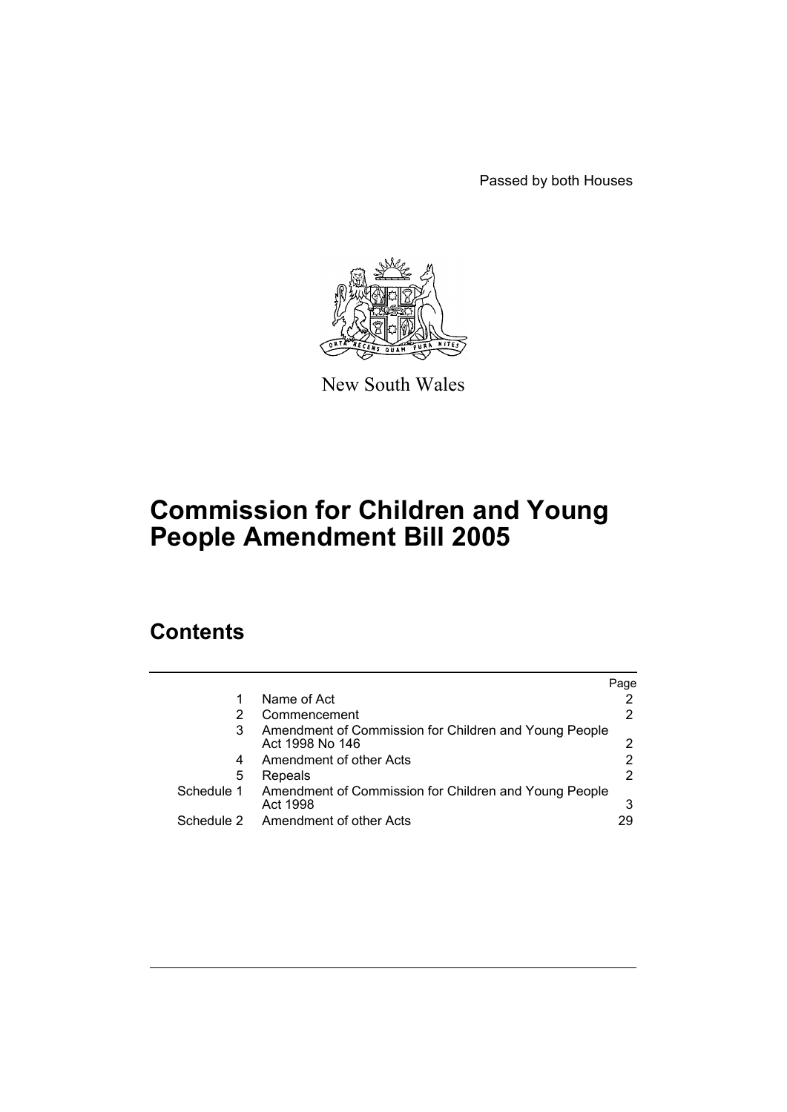Passed by both Houses



New South Wales

# **Commission for Children and Young People Amendment Bill 2005**

# **Contents**

|            |                                                                          | Page |
|------------|--------------------------------------------------------------------------|------|
| 1          | Name of Act                                                              |      |
| 2          | Commencement                                                             |      |
| 3          | Amendment of Commission for Children and Young People<br>Act 1998 No 146 |      |
| 4          | Amendment of other Acts                                                  |      |
| 5          | Repeals                                                                  |      |
| Schedule 1 | Amendment of Commission for Children and Young People<br>Act 1998        | 3    |
| Schedule 2 | Amendment of other Acts                                                  | 29   |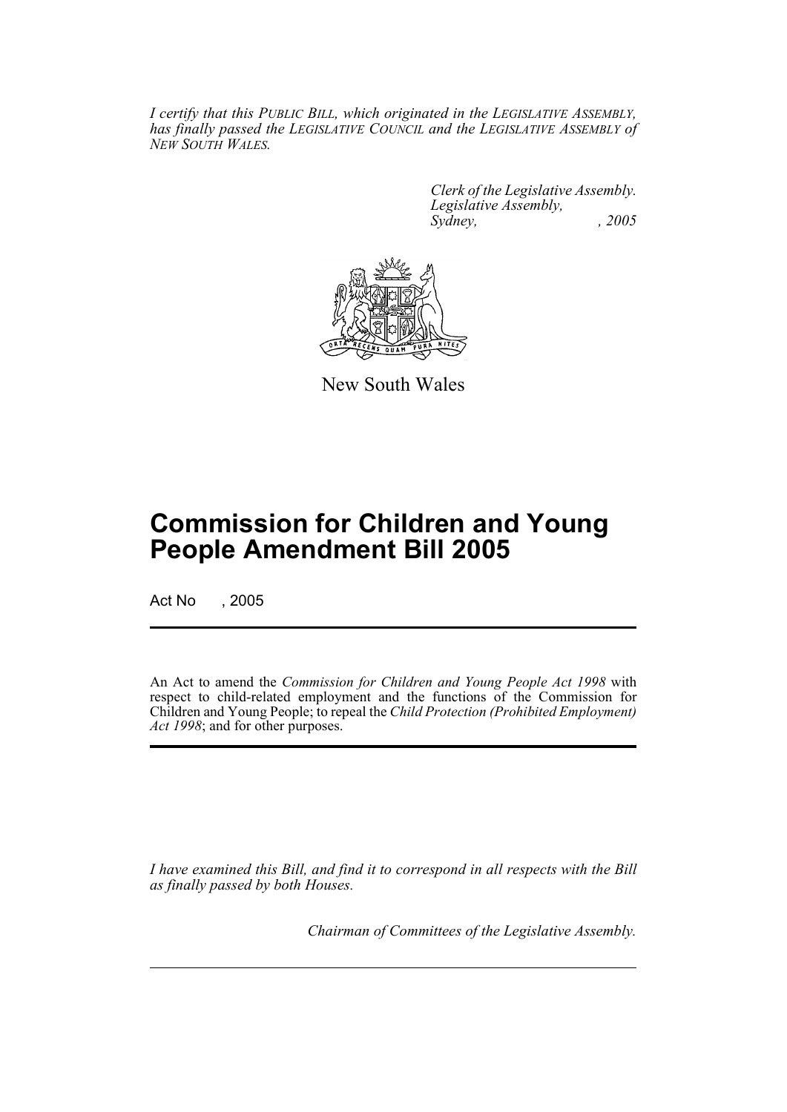*I certify that this PUBLIC BILL, which originated in the LEGISLATIVE ASSEMBLY, has finally passed the LEGISLATIVE COUNCIL and the LEGISLATIVE ASSEMBLY of NEW SOUTH WALES.*

> *Clerk of the Legislative Assembly. Legislative Assembly, Sydney, , 2005*



New South Wales

# **Commission for Children and Young People Amendment Bill 2005**

Act No , 2005

An Act to amend the *Commission for Children and Young People Act 1998* with respect to child-related employment and the functions of the Commission for Children and Young People; to repeal the *Child Protection (Prohibited Employment) Act 1998*; and for other purposes.

*I have examined this Bill, and find it to correspond in all respects with the Bill as finally passed by both Houses.*

*Chairman of Committees of the Legislative Assembly.*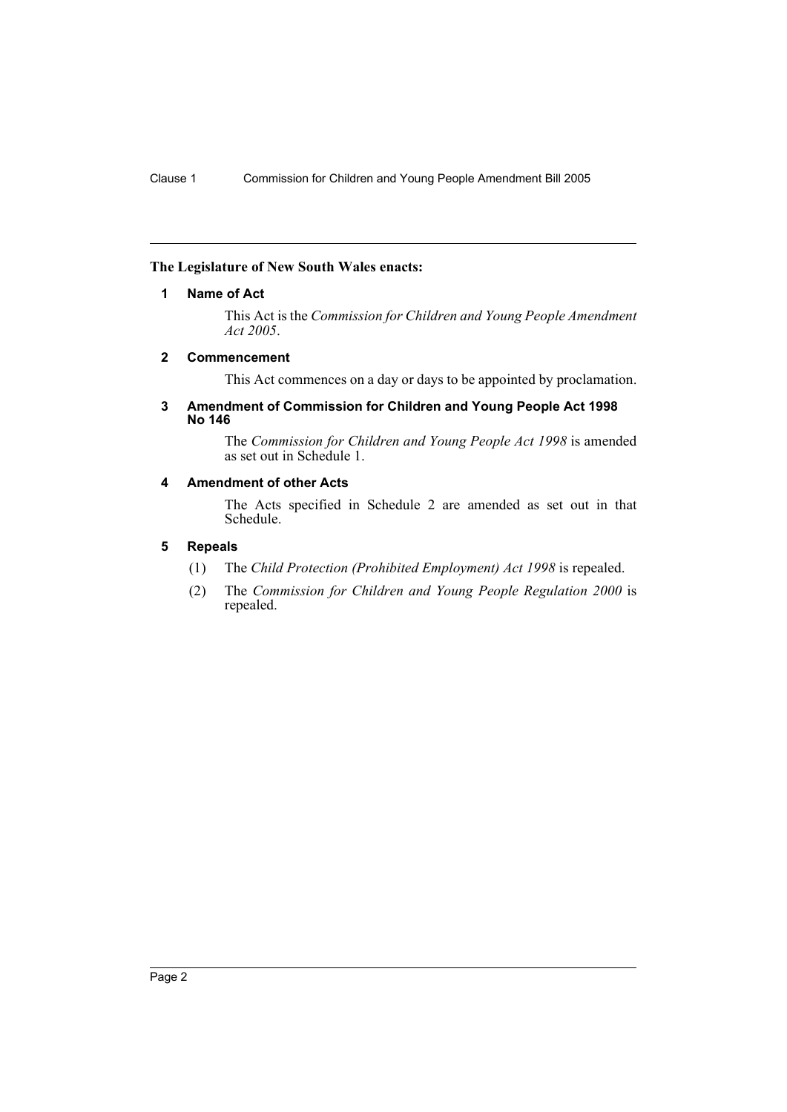#### **The Legislature of New South Wales enacts:**

#### **1 Name of Act**

This Act is the *Commission for Children and Young People Amendment Act 2005*.

#### **2 Commencement**

This Act commences on a day or days to be appointed by proclamation.

#### **3 Amendment of Commission for Children and Young People Act 1998 No 146**

The *Commission for Children and Young People Act 1998* is amended as set out in Schedule 1.

#### **4 Amendment of other Acts**

The Acts specified in Schedule 2 are amended as set out in that Schedule.

#### **5 Repeals**

- (1) The *Child Protection (Prohibited Employment) Act 1998* is repealed.
- (2) The *Commission for Children and Young People Regulation 2000* is repealed.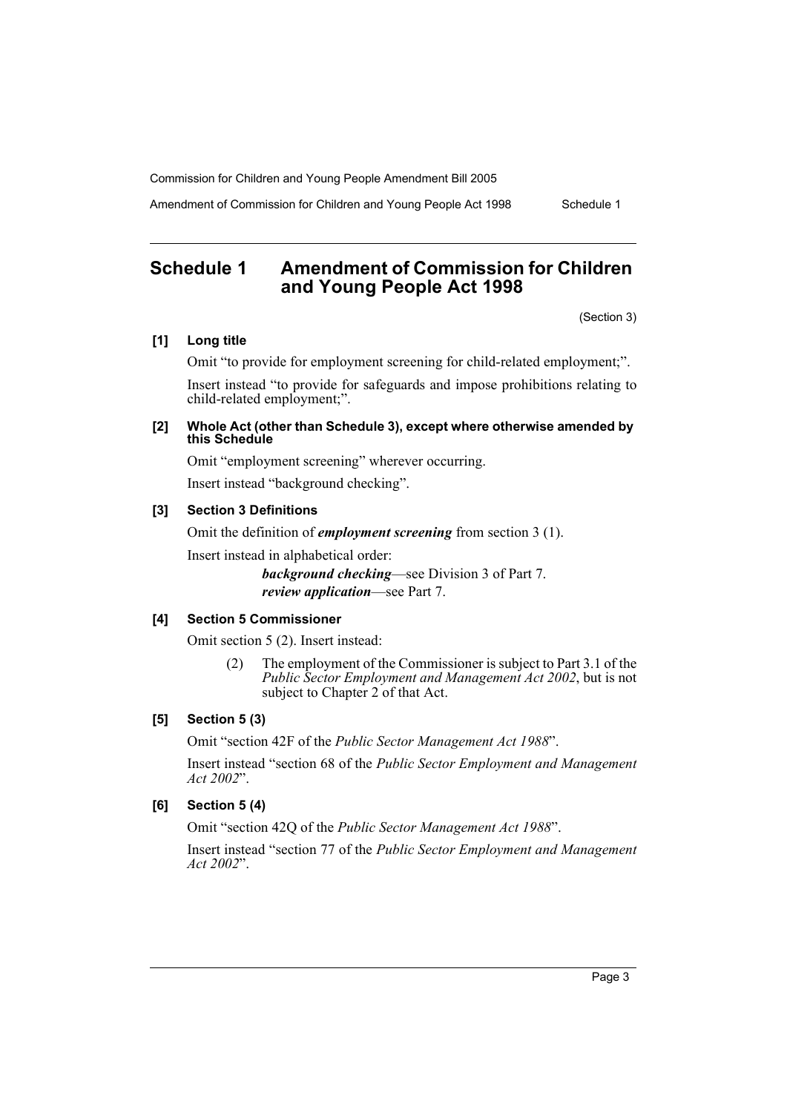Amendment of Commission for Children and Young People Act 1998 Schedule 1

# **Schedule 1 Amendment of Commission for Children and Young People Act 1998**

(Section 3)

# **[1] Long title**

Omit "to provide for employment screening for child-related employment;". Insert instead "to provide for safeguards and impose prohibitions relating to child-related employment;".

#### **[2] Whole Act (other than Schedule 3), except where otherwise amended by this Schedule**

Omit "employment screening" wherever occurring. Insert instead "background checking".

#### **[3] Section 3 Definitions**

Omit the definition of *employment screening* from section 3 (1). Insert instead in alphabetical order:

> *background checking*—see Division 3 of Part 7. *review application*—see Part 7.

#### **[4] Section 5 Commissioner**

Omit section 5 (2). Insert instead:

(2) The employment of the Commissioner is subject to Part 3.1 of the *Public Sector Employment and Management Act 2002*, but is not subject to Chapter 2 of that Act.

# **[5] Section 5 (3)**

Omit "section 42F of the *Public Sector Management Act 1988*".

Insert instead "section 68 of the *Public Sector Employment and Management Act 2002*".

### **[6] Section 5 (4)**

Omit "section 42Q of the *Public Sector Management Act 1988*".

Insert instead "section 77 of the *Public Sector Employment and Management Act 2002*".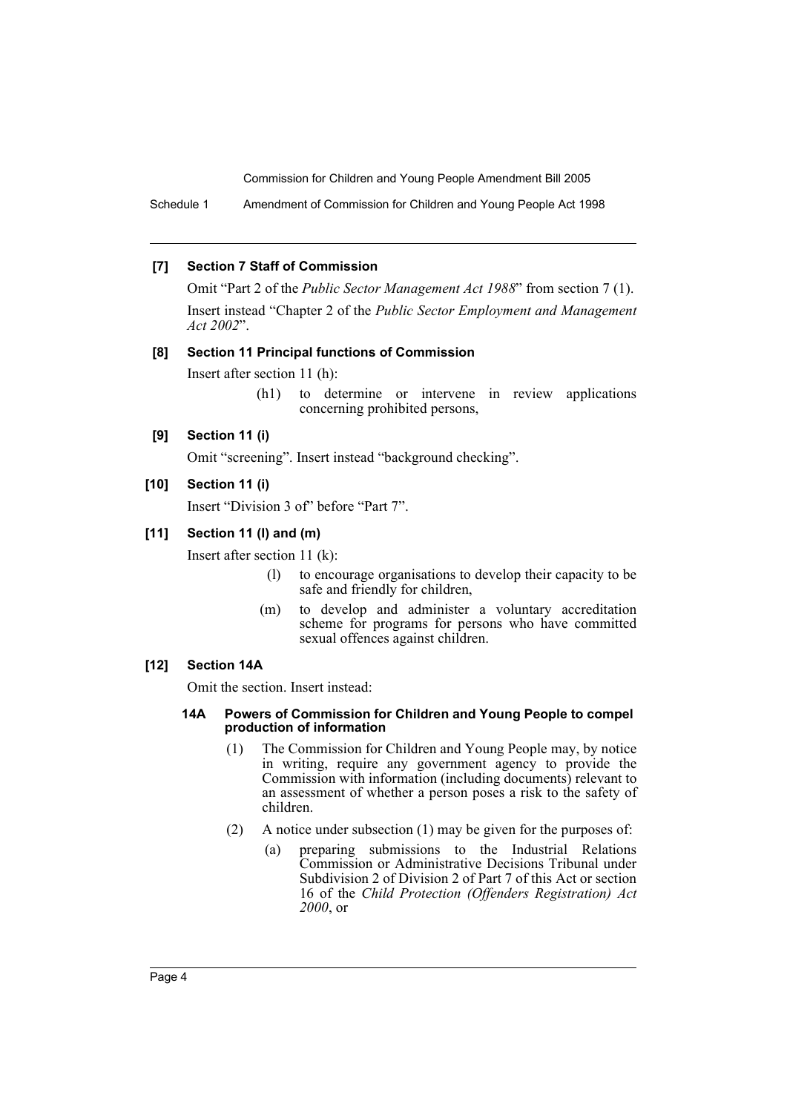Schedule 1 Amendment of Commission for Children and Young People Act 1998

#### **[7] Section 7 Staff of Commission**

Omit "Part 2 of the *Public Sector Management Act 1988*" from section 7 (1). Insert instead "Chapter 2 of the *Public Sector Employment and Management Act 2002*".

#### **[8] Section 11 Principal functions of Commission**

Insert after section 11 (h):

(h1) to determine or intervene in review applications concerning prohibited persons,

#### **[9] Section 11 (i)**

Omit "screening". Insert instead "background checking".

# **[10] Section 11 (i)**

Insert "Division 3 of" before "Part 7".

### **[11] Section 11 (l) and (m)**

Insert after section 11 (k):

- (l) to encourage organisations to develop their capacity to be safe and friendly for children,
- (m) to develop and administer a voluntary accreditation scheme for programs for persons who have committed sexual offences against children.

#### **[12] Section 14A**

Omit the section. Insert instead:

#### **14A Powers of Commission for Children and Young People to compel production of information**

- (1) The Commission for Children and Young People may, by notice in writing, require any government agency to provide the Commission with information (including documents) relevant to an assessment of whether a person poses a risk to the safety of children.
- (2) A notice under subsection (1) may be given for the purposes of:
	- (a) preparing submissions to the Industrial Relations Commission or Administrative Decisions Tribunal under Subdivision 2 of Division 2 of Part 7 of this Act or section 16 of the *Child Protection (Offenders Registration) Act 2000*, or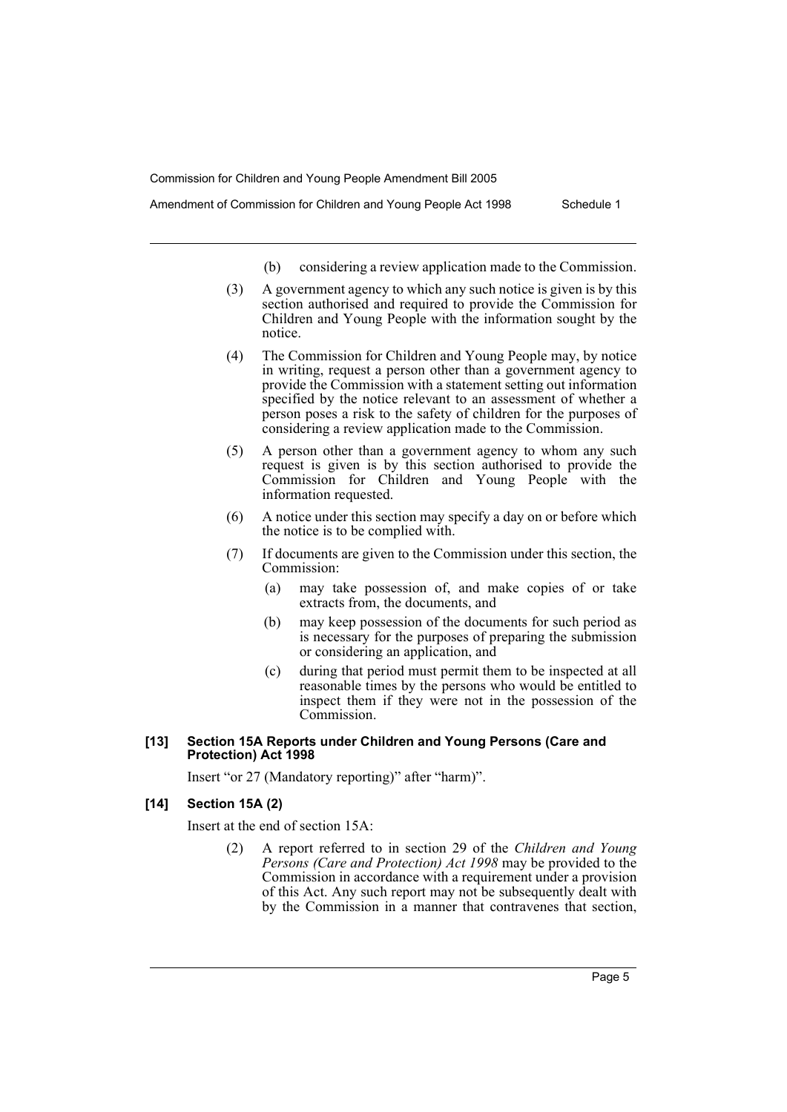- Amendment of Commission for Children and Young People Act 1998 Schedule 1
	- (b) considering a review application made to the Commission.
	- (3) A government agency to which any such notice is given is by this section authorised and required to provide the Commission for Children and Young People with the information sought by the notice.
	- (4) The Commission for Children and Young People may, by notice in writing, request a person other than a government agency to provide the Commission with a statement setting out information specified by the notice relevant to an assessment of whether a person poses a risk to the safety of children for the purposes of considering a review application made to the Commission.
	- (5) A person other than a government agency to whom any such request is given is by this section authorised to provide the Commission for Children and Young People with the information requested.
	- (6) A notice under this section may specify a day on or before which the notice is to be complied with.
	- (7) If documents are given to the Commission under this section, the Commission:
		- (a) may take possession of, and make copies of or take extracts from, the documents, and
		- (b) may keep possession of the documents for such period as is necessary for the purposes of preparing the submission or considering an application, and
		- (c) during that period must permit them to be inspected at all reasonable times by the persons who would be entitled to inspect them if they were not in the possession of the Commission.

#### **[13] Section 15A Reports under Children and Young Persons (Care and Protection) Act 1998**

Insert "or 27 (Mandatory reporting)" after "harm)".

#### **[14] Section 15A (2)**

Insert at the end of section 15A:

(2) A report referred to in section 29 of the *Children and Young Persons (Care and Protection) Act 1998* may be provided to the Commission in accordance with a requirement under a provision of this Act. Any such report may not be subsequently dealt with by the Commission in a manner that contravenes that section,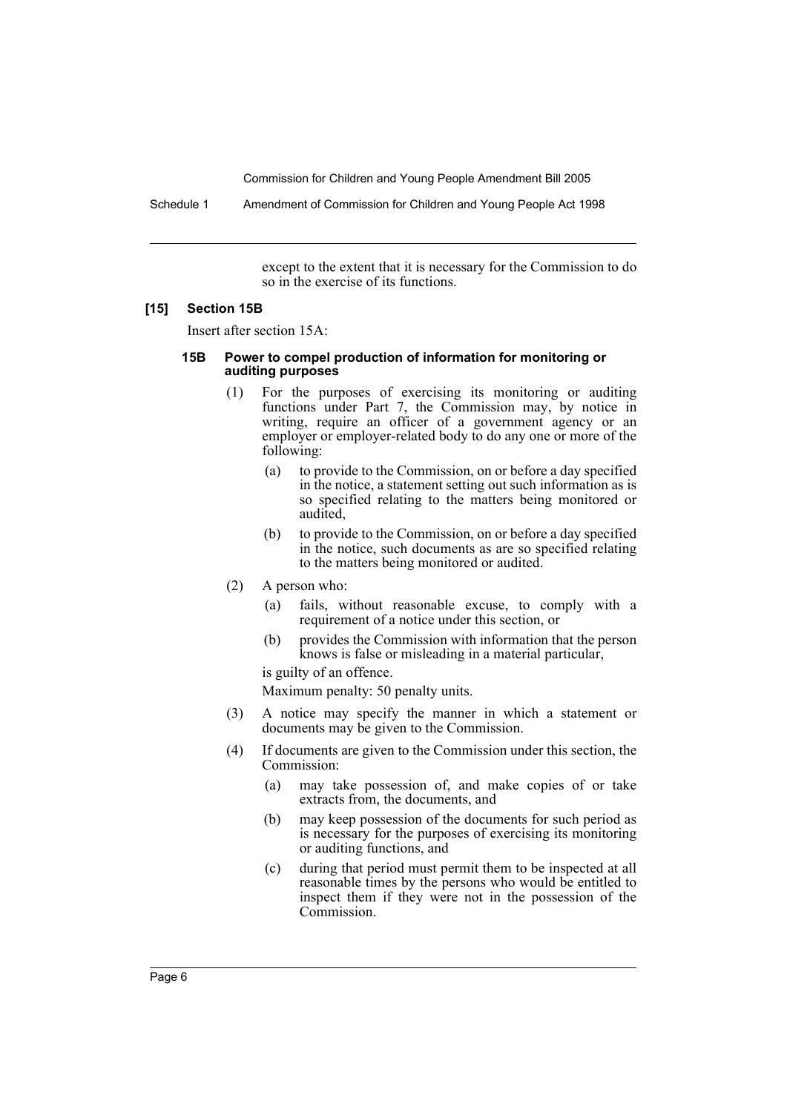Schedule 1 Amendment of Commission for Children and Young People Act 1998

except to the extent that it is necessary for the Commission to do so in the exercise of its functions.

#### **[15] Section 15B**

Insert after section 15A:

#### **15B Power to compel production of information for monitoring or auditing purposes**

- (1) For the purposes of exercising its monitoring or auditing functions under Part 7, the Commission may, by notice in writing, require an officer of a government agency or an employer or employer-related body to do any one or more of the following:
	- (a) to provide to the Commission, on or before a day specified in the notice, a statement setting out such information as is so specified relating to the matters being monitored or audited,
	- (b) to provide to the Commission, on or before a day specified in the notice, such documents as are so specified relating to the matters being monitored or audited.
- (2) A person who:
	- (a) fails, without reasonable excuse, to comply with a requirement of a notice under this section, or
	- (b) provides the Commission with information that the person knows is false or misleading in a material particular,

is guilty of an offence.

Maximum penalty: 50 penalty units.

- (3) A notice may specify the manner in which a statement or documents may be given to the Commission.
- (4) If documents are given to the Commission under this section, the Commission:
	- (a) may take possession of, and make copies of or take extracts from, the documents, and
	- (b) may keep possession of the documents for such period as is necessary for the purposes of exercising its monitoring or auditing functions, and
	- (c) during that period must permit them to be inspected at all reasonable times by the persons who would be entitled to inspect them if they were not in the possession of the Commission.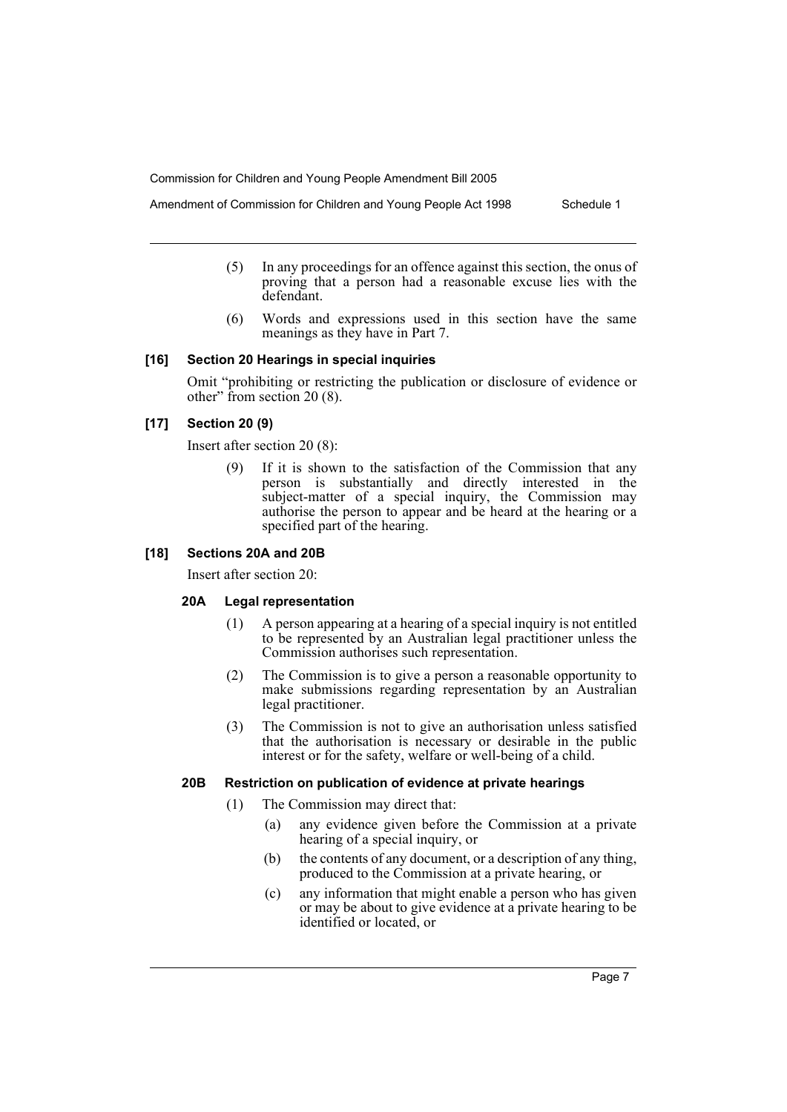Amendment of Commission for Children and Young People Act 1998 Schedule 1

- (5) In any proceedings for an offence against this section, the onus of proving that a person had a reasonable excuse lies with the defendant.
	- (6) Words and expressions used in this section have the same meanings as they have in Part 7.

#### **[16] Section 20 Hearings in special inquiries**

Omit "prohibiting or restricting the publication or disclosure of evidence or other" from section 20 (8).

# **[17] Section 20 (9)**

Insert after section 20 (8):

(9) If it is shown to the satisfaction of the Commission that any person is substantially and directly interested in the subject-matter of a special inquiry, the Commission may authorise the person to appear and be heard at the hearing or a specified part of the hearing.

#### **[18] Sections 20A and 20B**

Insert after section 20:

#### **20A Legal representation**

- (1) A person appearing at a hearing of a special inquiry is not entitled to be represented by an Australian legal practitioner unless the Commission authorises such representation.
- (2) The Commission is to give a person a reasonable opportunity to make submissions regarding representation by an Australian legal practitioner.
- (3) The Commission is not to give an authorisation unless satisfied that the authorisation is necessary or desirable in the public interest or for the safety, welfare or well-being of a child.

#### **20B Restriction on publication of evidence at private hearings**

- (1) The Commission may direct that:
	- (a) any evidence given before the Commission at a private hearing of a special inquiry, or
	- (b) the contents of any document, or a description of any thing, produced to the Commission at a private hearing, or
	- (c) any information that might enable a person who has given or may be about to give evidence at a private hearing to be identified or located, or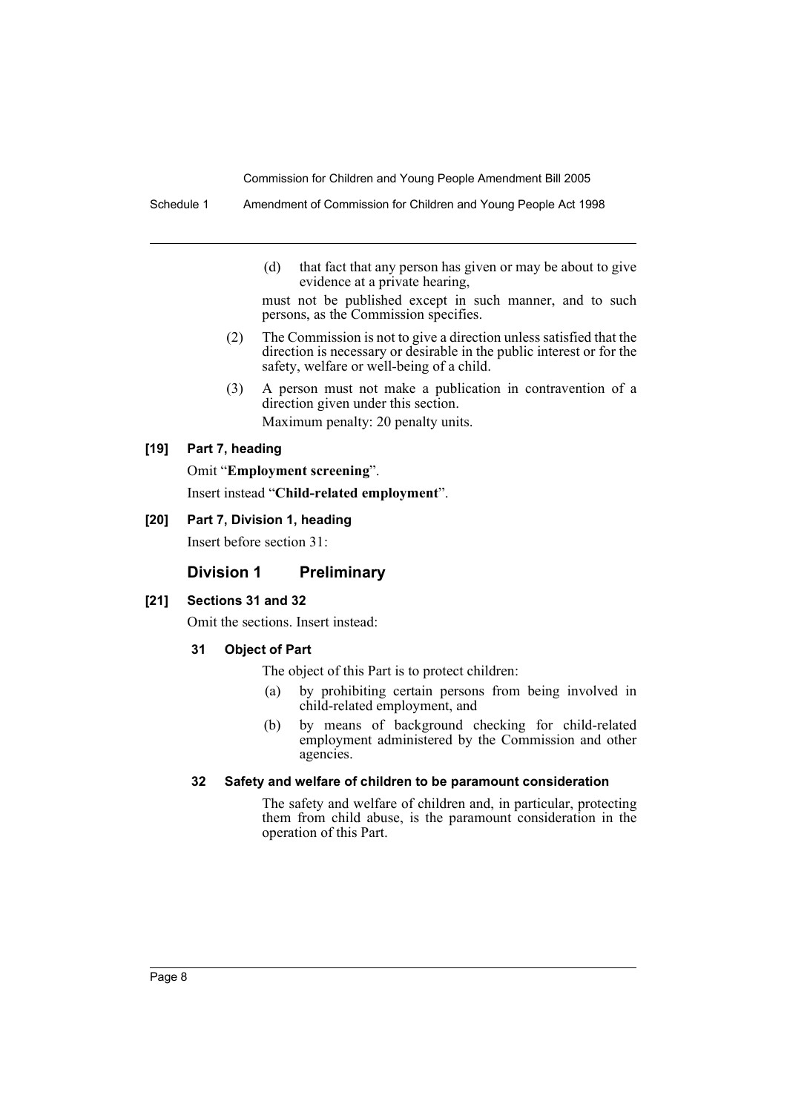Schedule 1 Amendment of Commission for Children and Young People Act 1998

(d) that fact that any person has given or may be about to give evidence at a private hearing,

must not be published except in such manner, and to such persons, as the Commission specifies.

- (2) The Commission is not to give a direction unless satisfied that the direction is necessary or desirable in the public interest or for the safety, welfare or well-being of a child.
- (3) A person must not make a publication in contravention of a direction given under this section. Maximum penalty: 20 penalty units.

#### **[19] Part 7, heading**

Omit "**Employment screening**".

Insert instead "**Child-related employment**".

**[20] Part 7, Division 1, heading**

Insert before section 31:

# **Division 1 Preliminary**

#### **[21] Sections 31 and 32**

Omit the sections. Insert instead:

#### **31 Object of Part**

The object of this Part is to protect children:

- (a) by prohibiting certain persons from being involved in child-related employment, and
- (b) by means of background checking for child-related employment administered by the Commission and other agencies.

#### **32 Safety and welfare of children to be paramount consideration**

The safety and welfare of children and, in particular, protecting them from child abuse, is the paramount consideration in the operation of this Part.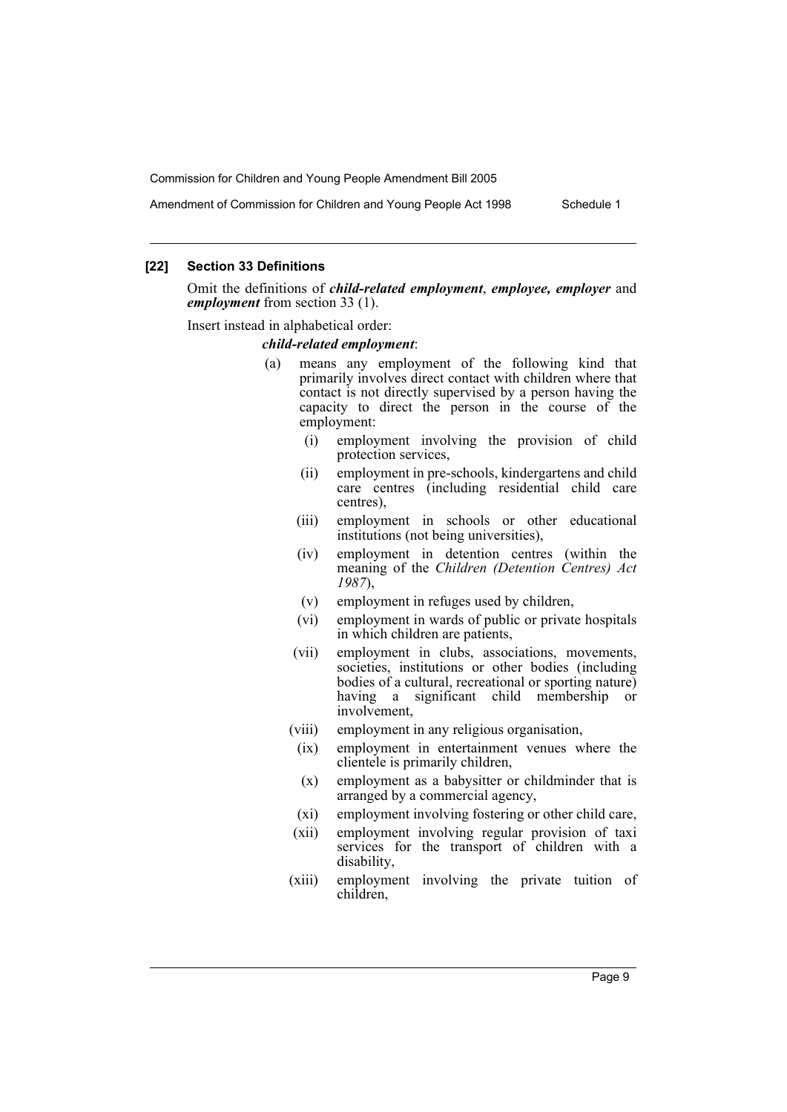Amendment of Commission for Children and Young People Act 1998 Schedule 1

#### **[22] Section 33 Definitions**

Omit the definitions of *child-related employment*, *employee, employer* and *employment* from section 33 (1).

Insert instead in alphabetical order:

#### *child-related employment*:

- (a) means any employment of the following kind that primarily involves direct contact with children where that contact is not directly supervised by a person having the capacity to direct the person in the course of the employment:
	- (i) employment involving the provision of child protection services,
	- (ii) employment in pre-schools, kindergartens and child care centres (including residential child care centres),
	- (iii) employment in schools or other educational institutions (not being universities),
	- (iv) employment in detention centres (within the meaning of the *Children (Detention Centres) Act 1987*),
	- (v) employment in refuges used by children,
	- (vi) employment in wards of public or private hospitals in which children are patients,
	- (vii) employment in clubs, associations, movements, societies, institutions or other bodies (including bodies of a cultural, recreational or sporting nature) having a significant child membership or involvement,
	- (viii) employment in any religious organisation,
		- (ix) employment in entertainment venues where the clientele is primarily children,
		- (x) employment as a babysitter or childminder that is arranged by a commercial agency,
	- (xi) employment involving fostering or other child care,
	- (xii) employment involving regular provision of taxi services for the transport of children with a disability,
	- (xiii) employment involving the private tuition of children,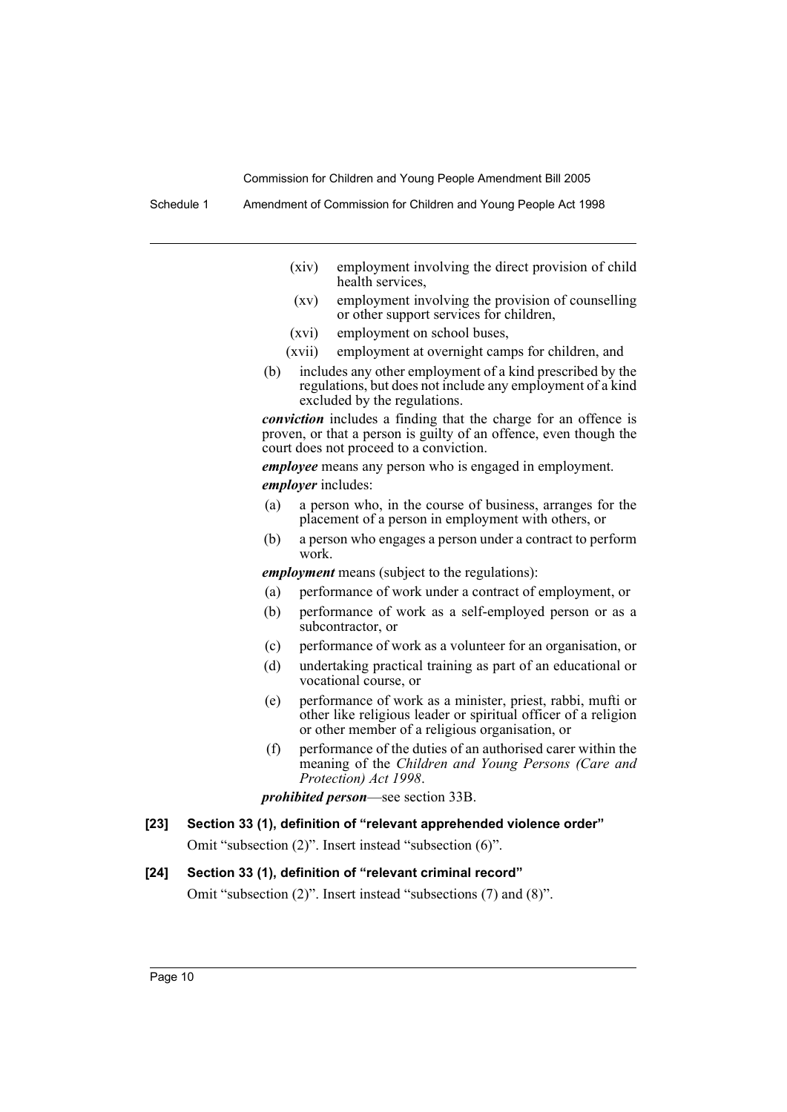Schedule 1 Amendment of Commission for Children and Young People Act 1998

- (xiv) employment involving the direct provision of child health services,
- (xv) employment involving the provision of counselling or other support services for children,
- (xvi) employment on school buses,
- (xvii) employment at overnight camps for children, and
- (b) includes any other employment of a kind prescribed by the regulations, but does not include any employment of a kind excluded by the regulations.

*conviction* includes a finding that the charge for an offence is proven, or that a person is guilty of an offence, even though the court does not proceed to a conviction.

*employee* means any person who is engaged in employment. *employer* includes:

- (a) a person who, in the course of business, arranges for the placement of a person in employment with others, or
- (b) a person who engages a person under a contract to perform work.

*employment* means (subject to the regulations):

- (a) performance of work under a contract of employment, or
- (b) performance of work as a self-employed person or as a subcontractor, or
- (c) performance of work as a volunteer for an organisation, or
- (d) undertaking practical training as part of an educational or vocational course, or
- (e) performance of work as a minister, priest, rabbi, mufti or other like religious leader or spiritual officer of a religion or other member of a religious organisation, or
- (f) performance of the duties of an authorised carer within the meaning of the *Children and Young Persons (Care and Protection) Act 1998*.

*prohibited person*—see section 33B.

**[23] Section 33 (1), definition of "relevant apprehended violence order"**

Omit "subsection (2)". Insert instead "subsection (6)".

#### **[24] Section 33 (1), definition of "relevant criminal record"**

Omit "subsection (2)". Insert instead "subsections (7) and (8)".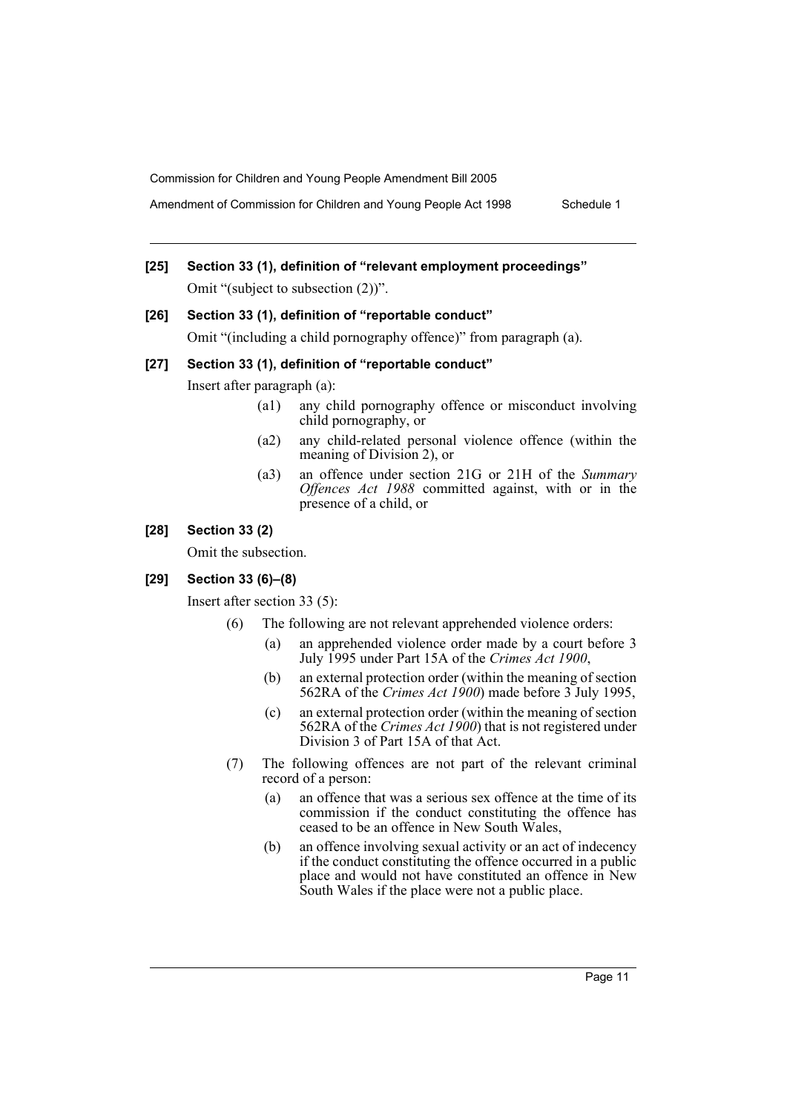Amendment of Commission for Children and Young People Act 1998 Schedule 1

# **[25] Section 33 (1), definition of "relevant employment proceedings"** Omit "(subject to subsection (2))".

#### **[26] Section 33 (1), definition of "reportable conduct"**

Omit "(including a child pornography offence)" from paragraph (a).

#### **[27] Section 33 (1), definition of "reportable conduct"**

Insert after paragraph (a):

- (a1) any child pornography offence or misconduct involving child pornography, or
- (a2) any child-related personal violence offence (within the meaning of Division 2), or
- (a3) an offence under section 21G or 21H of the *Summary Offences Act 1988* committed against, with or in the presence of a child, or

### **[28] Section 33 (2)**

Omit the subsection.

#### **[29] Section 33 (6)–(8)**

Insert after section 33 (5):

- (6) The following are not relevant apprehended violence orders:
	- (a) an apprehended violence order made by a court before 3 July 1995 under Part 15A of the *Crimes Act 1900*,
	- (b) an external protection order (within the meaning of section 562RA of the *Crimes Act 1900*) made before 3 July 1995,
	- (c) an external protection order (within the meaning of section 562RA of the *Crimes Act 1900*) that is not registered under Division 3 of Part 15A of that Act.
- (7) The following offences are not part of the relevant criminal record of a person:
	- (a) an offence that was a serious sex offence at the time of its commission if the conduct constituting the offence has ceased to be an offence in New South Wales,
	- (b) an offence involving sexual activity or an act of indecency if the conduct constituting the offence occurred in a public place and would not have constituted an offence in New South Wales if the place were not a public place.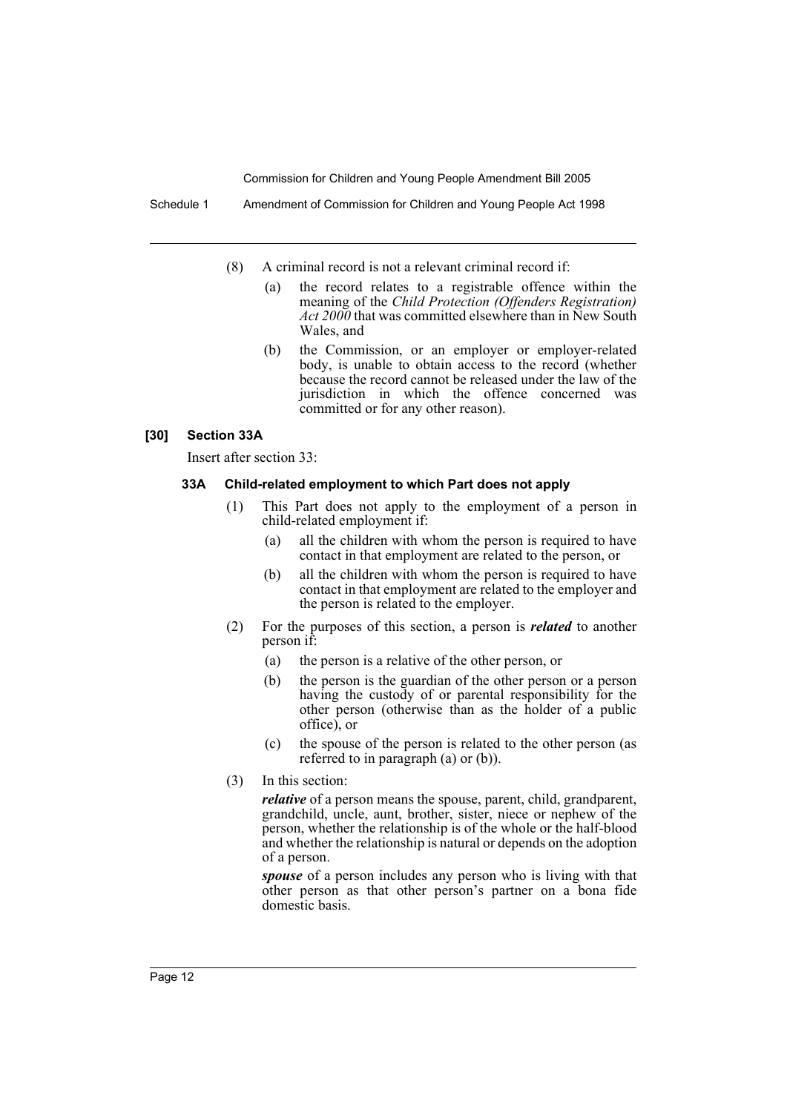Schedule 1 Amendment of Commission for Children and Young People Act 1998

- (8) A criminal record is not a relevant criminal record if:
	- (a) the record relates to a registrable offence within the meaning of the *Child Protection (Offenders Registration) Act 2000* that was committed elsewhere than in New South Wales, and
	- (b) the Commission, or an employer or employer-related body, is unable to obtain access to the record (whether because the record cannot be released under the law of the jurisdiction in which the offence concerned was committed or for any other reason).

#### **[30] Section 33A**

Insert after section 33:

#### **33A Child-related employment to which Part does not apply**

- (1) This Part does not apply to the employment of a person in child-related employment if:
	- (a) all the children with whom the person is required to have contact in that employment are related to the person, or
	- (b) all the children with whom the person is required to have contact in that employment are related to the employer and the person is related to the employer.
- (2) For the purposes of this section, a person is *related* to another person if:
	- (a) the person is a relative of the other person, or
	- (b) the person is the guardian of the other person or a person having the custody of or parental responsibility for the other person (otherwise than as the holder of a public office), or
	- (c) the spouse of the person is related to the other person (as referred to in paragraph (a) or (b)).
- (3) In this section:

*relative* of a person means the spouse, parent, child, grandparent, grandchild, uncle, aunt, brother, sister, niece or nephew of the person, whether the relationship is of the whole or the half-blood and whether the relationship is natural or depends on the adoption of a person.

*spouse* of a person includes any person who is living with that other person as that other person's partner on a bona fide domestic basis.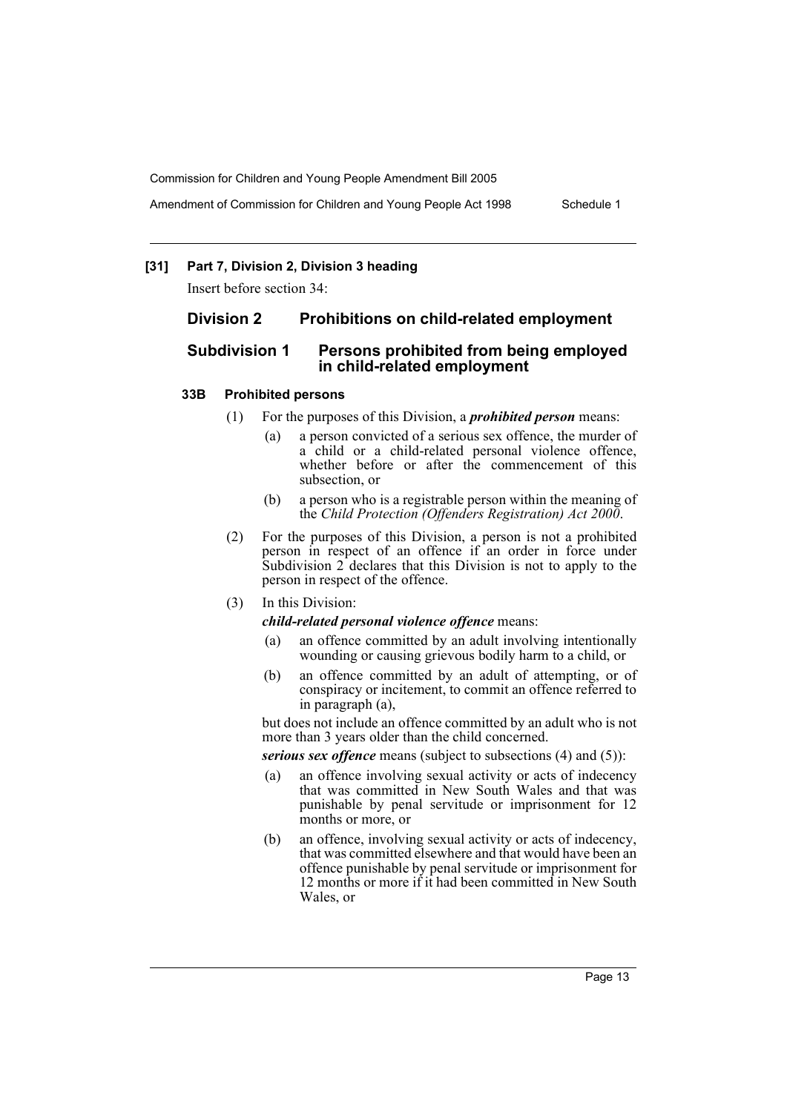Amendment of Commission for Children and Young People Act 1998 Schedule 1

#### **[31] Part 7, Division 2, Division 3 heading**

Insert before section 34:

#### **Division 2 Prohibitions on child-related employment**

# **Subdivision 1 Persons prohibited from being employed in child-related employment**

#### **33B Prohibited persons**

- (1) For the purposes of this Division, a *prohibited person* means:
	- (a) a person convicted of a serious sex offence, the murder of a child or a child-related personal violence offence, whether before or after the commencement of this subsection, or
	- (b) a person who is a registrable person within the meaning of the *Child Protection (Offenders Registration) Act 2000*.
- (2) For the purposes of this Division, a person is not a prohibited person in respect of an offence if an order in force under Subdivision  $2$  declares that this Division is not to apply to the person in respect of the offence.
- (3) In this Division:
	- *child-related personal violence offence* means:
	- (a) an offence committed by an adult involving intentionally wounding or causing grievous bodily harm to a child, or
	- (b) an offence committed by an adult of attempting, or of conspiracy or incitement, to commit an offence referred to in paragraph (a),

but does not include an offence committed by an adult who is not more than 3 years older than the child concerned.

*serious sex offence* means (subject to subsections (4) and (5)):

- (a) an offence involving sexual activity or acts of indecency that was committed in New South Wales and that was punishable by penal servitude or imprisonment for 12 months or more, or
- (b) an offence, involving sexual activity or acts of indecency, that was committed elsewhere and that would have been an offence punishable by penal servitude or imprisonment for 12 months or more if it had been committed in New South Wales, or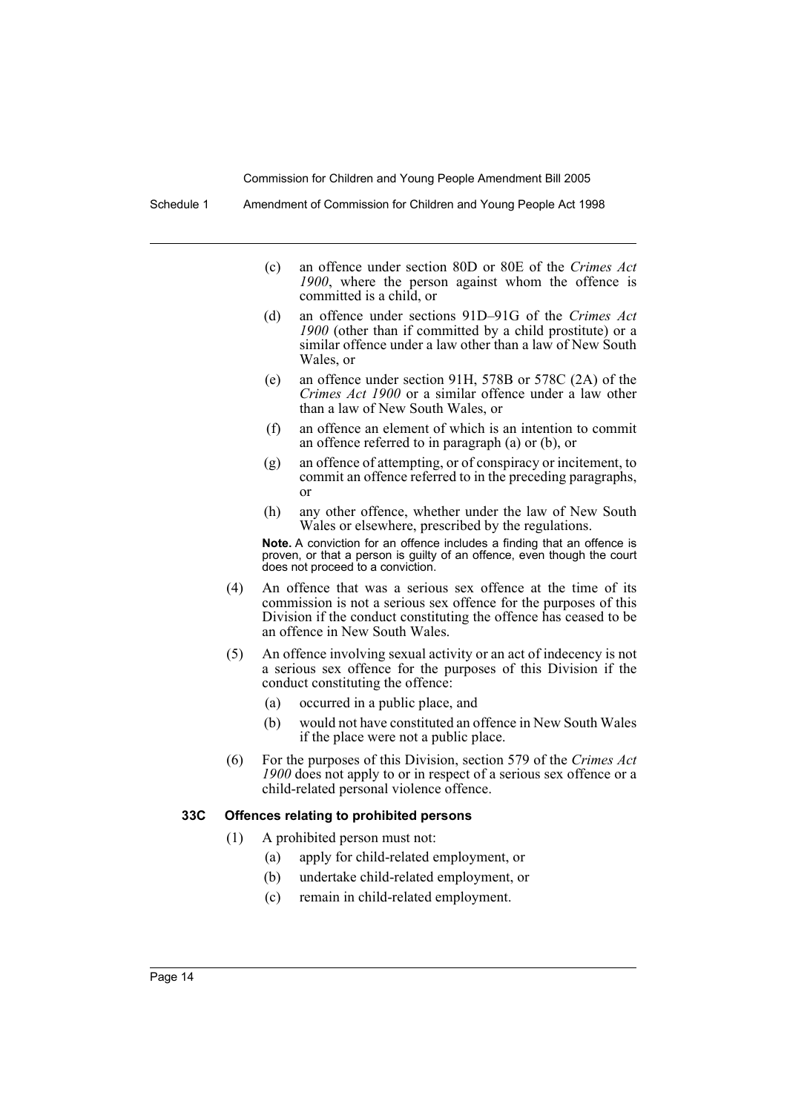Schedule 1 Amendment of Commission for Children and Young People Act 1998

- (c) an offence under section 80D or 80E of the *Crimes Act 1900*, where the person against whom the offence is committed is a child, or
- (d) an offence under sections 91D–91G of the *Crimes Act 1900* (other than if committed by a child prostitute) or a similar offence under a law other than a law of New South Wales, or
- (e) an offence under section 91H, 578B or 578C (2A) of the *Crimes Act 1900* or a similar offence under a law other than a law of New South Wales, or
- (f) an offence an element of which is an intention to commit an offence referred to in paragraph (a) or (b), or
- (g) an offence of attempting, or of conspiracy or incitement, to commit an offence referred to in the preceding paragraphs, or
- (h) any other offence, whether under the law of New South Wales or elsewhere, prescribed by the regulations.

**Note.** A conviction for an offence includes a finding that an offence is proven, or that a person is guilty of an offence, even though the court does not proceed to a conviction.

- (4) An offence that was a serious sex offence at the time of its commission is not a serious sex offence for the purposes of this Division if the conduct constituting the offence has ceased to be an offence in New South Wales.
- (5) An offence involving sexual activity or an act of indecency is not a serious sex offence for the purposes of this Division if the conduct constituting the offence:
	- (a) occurred in a public place, and
	- (b) would not have constituted an offence in New South Wales if the place were not a public place.
- (6) For the purposes of this Division, section 579 of the *Crimes Act 1900* does not apply to or in respect of a serious sex offence or a child-related personal violence offence.

#### **33C Offences relating to prohibited persons**

- (1) A prohibited person must not:
	- (a) apply for child-related employment, or
	- (b) undertake child-related employment, or
	- (c) remain in child-related employment.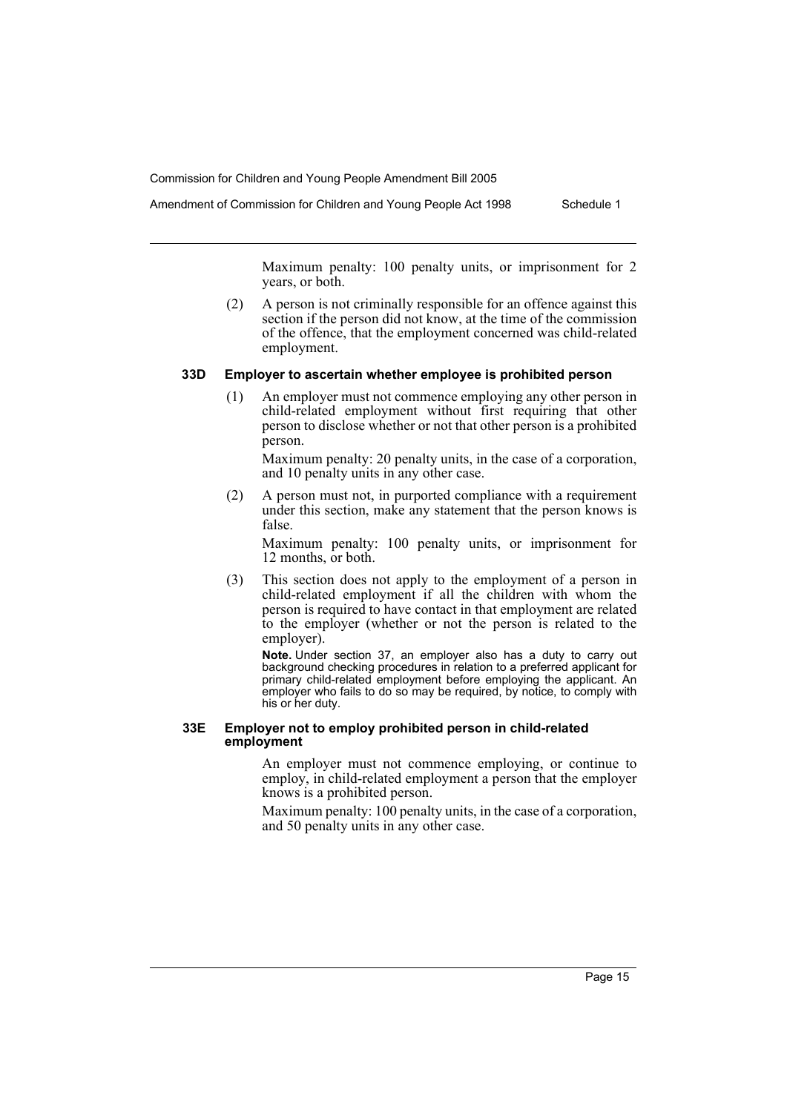Amendment of Commission for Children and Young People Act 1998 Schedule 1

Maximum penalty: 100 penalty units, or imprisonment for 2 years, or both.

(2) A person is not criminally responsible for an offence against this section if the person did not know, at the time of the commission of the offence, that the employment concerned was child-related employment.

#### **33D Employer to ascertain whether employee is prohibited person**

(1) An employer must not commence employing any other person in child-related employment without first requiring that other person to disclose whether or not that other person is a prohibited person.

Maximum penalty: 20 penalty units, in the case of a corporation, and 10 penalty units in any other case.

(2) A person must not, in purported compliance with a requirement under this section, make any statement that the person knows is false.

Maximum penalty: 100 penalty units, or imprisonment for 12 months, or both.

(3) This section does not apply to the employment of a person in child-related employment if all the children with whom the person is required to have contact in that employment are related to the employer (whether or not the person is related to the employer).

**Note.** Under section 37, an employer also has a duty to carry out background checking procedures in relation to a preferred applicant for primary child-related employment before employing the applicant. An employer who fails to do so may be required, by notice, to comply with his or her duty.

#### **33E Employer not to employ prohibited person in child-related employment**

An employer must not commence employing, or continue to employ, in child-related employment a person that the employer knows is a prohibited person.

Maximum penalty: 100 penalty units, in the case of a corporation, and 50 penalty units in any other case.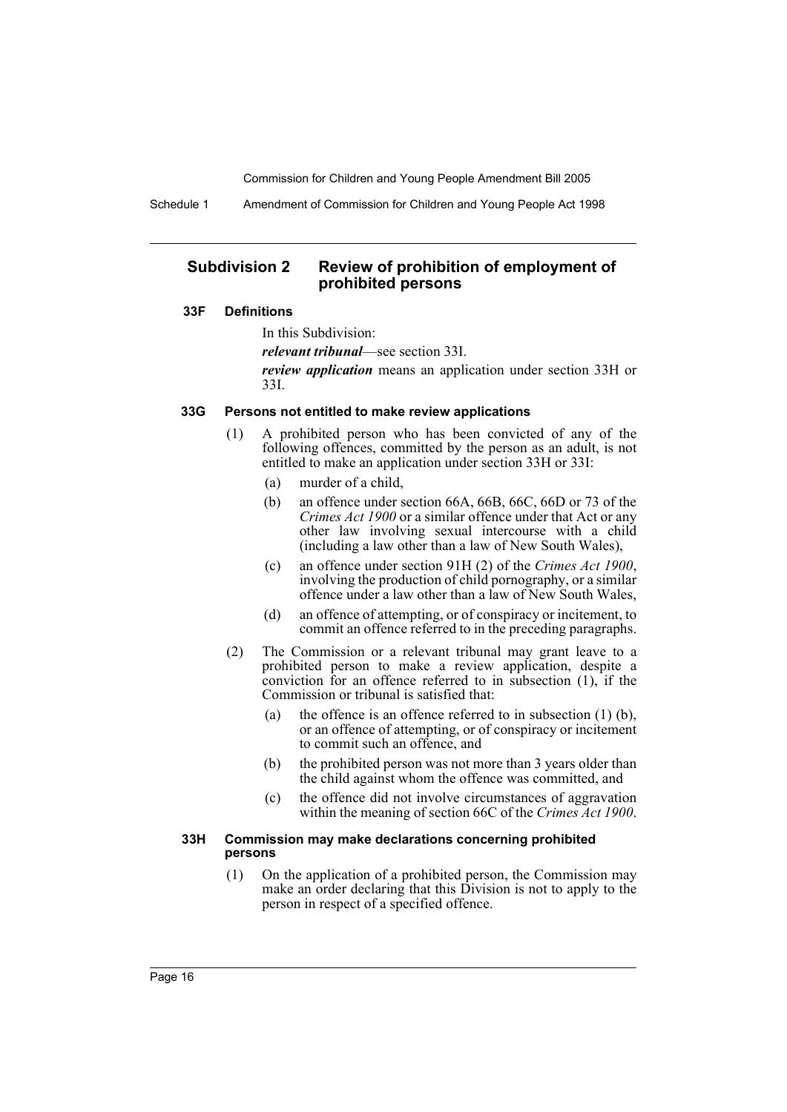Schedule 1 Amendment of Commission for Children and Young People Act 1998

# **Subdivision 2 Review of prohibition of employment of prohibited persons**

#### **33F Definitions**

In this Subdivision:

*relevant tribunal*—see section 33I.

*review application* means an application under section 33H or 33I.

#### **33G Persons not entitled to make review applications**

- (1) A prohibited person who has been convicted of any of the following offences, committed by the person as an adult, is not entitled to make an application under section 33H or 33I:
	- (a) murder of a child,
	- (b) an offence under section 66A, 66B, 66C, 66D or 73 of the *Crimes Act 1900* or a similar offence under that Act or any other law involving sexual intercourse with a child (including a law other than a law of New South Wales),
	- (c) an offence under section 91H (2) of the *Crimes Act 1900*, involving the production of child pornography, or a similar offence under a law other than a law of New South Wales,
	- (d) an offence of attempting, or of conspiracy or incitement, to commit an offence referred to in the preceding paragraphs.
- (2) The Commission or a relevant tribunal may grant leave to a prohibited person to make a review application, despite a conviction for an offence referred to in subsection (1), if the Commission or tribunal is satisfied that:
	- (a) the offence is an offence referred to in subsection (1) (b), or an offence of attempting, or of conspiracy or incitement to commit such an offence, and
	- (b) the prohibited person was not more than 3 years older than the child against whom the offence was committed, and
	- (c) the offence did not involve circumstances of aggravation within the meaning of section 66C of the *Crimes Act 1900*.

#### **33H Commission may make declarations concerning prohibited persons**

(1) On the application of a prohibited person, the Commission may make an order declaring that this Division is not to apply to the person in respect of a specified offence.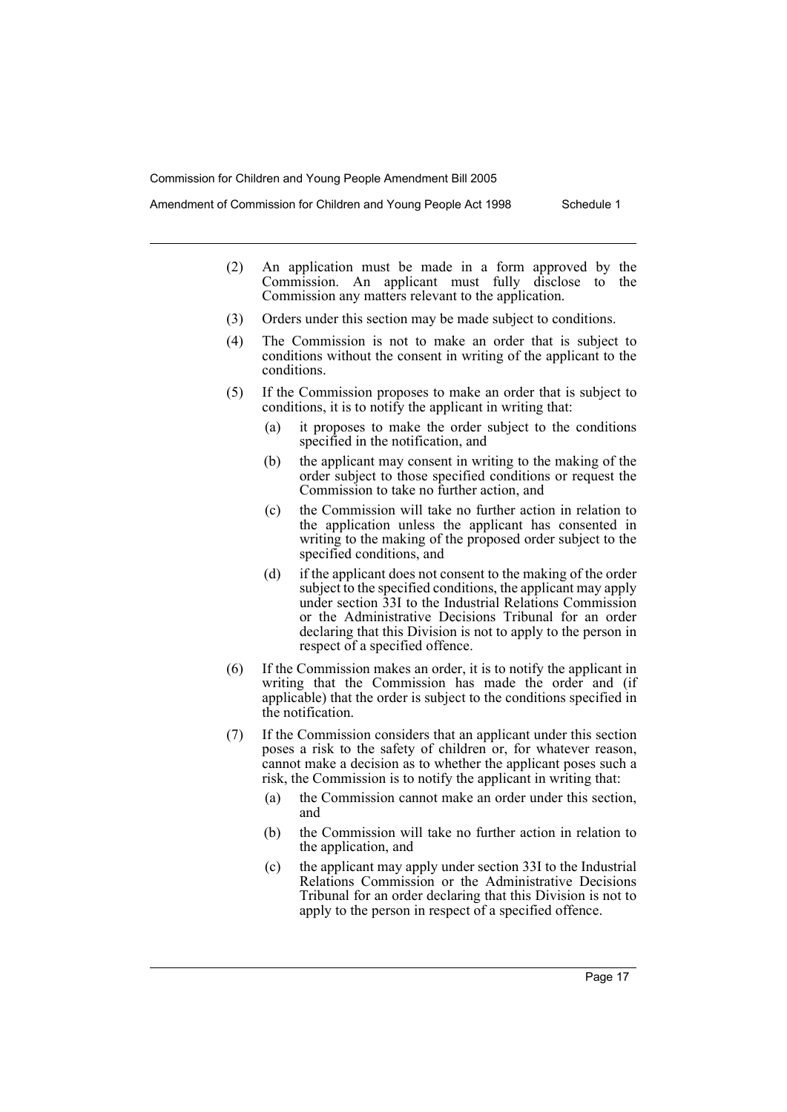Amendment of Commission for Children and Young People Act 1998 Schedule 1

- (2) An application must be made in a form approved by the Commission. An applicant must fully disclose to the Commission any matters relevant to the application.
- (3) Orders under this section may be made subject to conditions.
- (4) The Commission is not to make an order that is subject to conditions without the consent in writing of the applicant to the conditions.
- (5) If the Commission proposes to make an order that is subject to conditions, it is to notify the applicant in writing that:
	- (a) it proposes to make the order subject to the conditions specified in the notification, and
	- (b) the applicant may consent in writing to the making of the order subject to those specified conditions or request the Commission to take no further action, and
	- (c) the Commission will take no further action in relation to the application unless the applicant has consented in writing to the making of the proposed order subject to the specified conditions, and
	- (d) if the applicant does not consent to the making of the order subject to the specified conditions, the applicant may apply under section 33I to the Industrial Relations Commission or the Administrative Decisions Tribunal for an order declaring that this Division is not to apply to the person in respect of a specified offence.
- (6) If the Commission makes an order, it is to notify the applicant in writing that the Commission has made the order and (if applicable) that the order is subject to the conditions specified in the notification.
- (7) If the Commission considers that an applicant under this section poses a risk to the safety of children or, for whatever reason, cannot make a decision as to whether the applicant poses such a risk, the Commission is to notify the applicant in writing that:
	- (a) the Commission cannot make an order under this section, and
	- (b) the Commission will take no further action in relation to the application, and
	- (c) the applicant may apply under section 33I to the Industrial Relations Commission or the Administrative Decisions Tribunal for an order declaring that this Division is not to apply to the person in respect of a specified offence.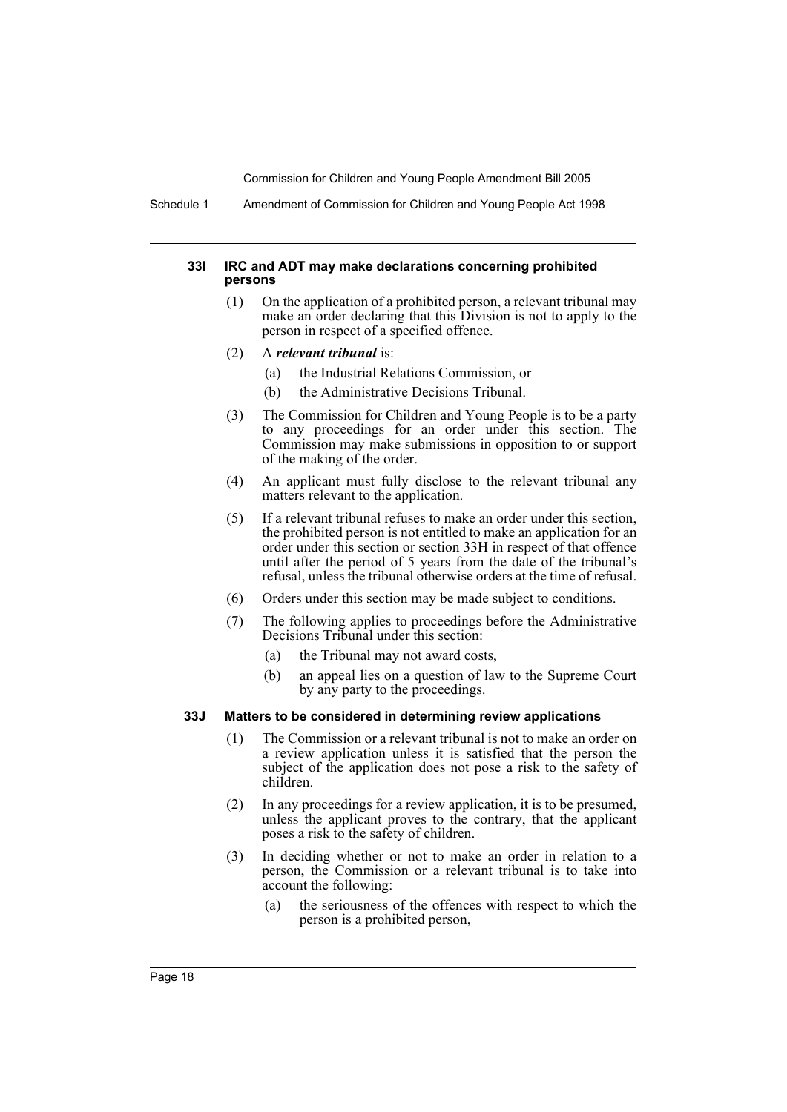Schedule 1 Amendment of Commission for Children and Young People Act 1998

#### **33I IRC and ADT may make declarations concerning prohibited persons**

- (1) On the application of a prohibited person, a relevant tribunal may make an order declaring that this Division is not to apply to the person in respect of a specified offence.
- (2) A *relevant tribunal* is:
	- (a) the Industrial Relations Commission, or
	- (b) the Administrative Decisions Tribunal.
- (3) The Commission for Children and Young People is to be a party to any proceedings for an order under this section. The Commission may make submissions in opposition to or support of the making of the order.
- (4) An applicant must fully disclose to the relevant tribunal any matters relevant to the application.
- (5) If a relevant tribunal refuses to make an order under this section, the prohibited person is not entitled to make an application for an order under this section or section 33H in respect of that offence until after the period of 5 years from the date of the tribunal's refusal, unless the tribunal otherwise orders at the time of refusal.
- (6) Orders under this section may be made subject to conditions.
- (7) The following applies to proceedings before the Administrative Decisions Tribunal under this section:
	- (a) the Tribunal may not award costs,
	- (b) an appeal lies on a question of law to the Supreme Court by any party to the proceedings.

#### **33J Matters to be considered in determining review applications**

- (1) The Commission or a relevant tribunal is not to make an order on a review application unless it is satisfied that the person the subject of the application does not pose a risk to the safety of children.
- (2) In any proceedings for a review application, it is to be presumed, unless the applicant proves to the contrary, that the applicant poses a risk to the safety of children.
- (3) In deciding whether or not to make an order in relation to a person, the Commission or a relevant tribunal is to take into account the following:
	- (a) the seriousness of the offences with respect to which the person is a prohibited person,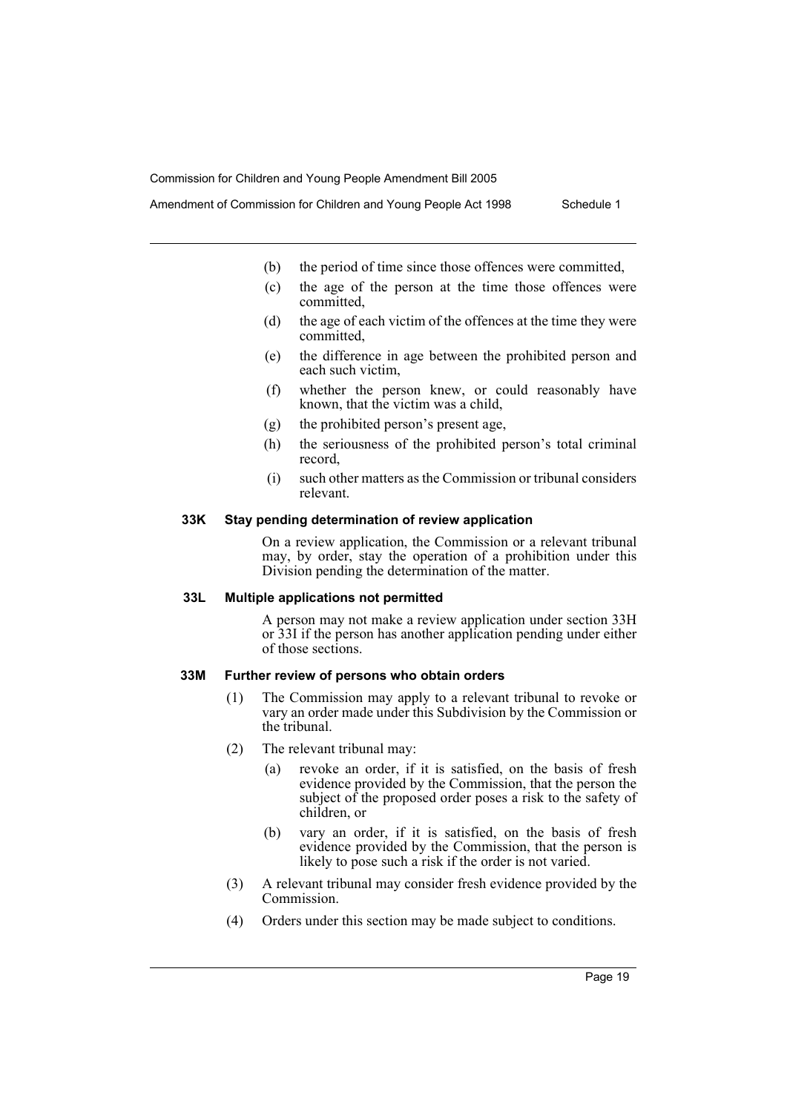Amendment of Commission for Children and Young People Act 1998 Schedule 1

- (b) the period of time since those offences were committed,
- (c) the age of the person at the time those offences were committed,
- (d) the age of each victim of the offences at the time they were committed,
- (e) the difference in age between the prohibited person and each such victim,
- (f) whether the person knew, or could reasonably have known, that the victim was a child,
- (g) the prohibited person's present age,
- (h) the seriousness of the prohibited person's total criminal record,
- (i) such other matters as the Commission or tribunal considers relevant.

#### **33K Stay pending determination of review application**

On a review application, the Commission or a relevant tribunal may, by order, stay the operation of a prohibition under this Division pending the determination of the matter.

#### **33L Multiple applications not permitted**

A person may not make a review application under section 33H or 33I if the person has another application pending under either of those sections.

#### **33M Further review of persons who obtain orders**

- (1) The Commission may apply to a relevant tribunal to revoke or vary an order made under this Subdivision by the Commission or the tribunal.
- (2) The relevant tribunal may:
	- (a) revoke an order, if it is satisfied, on the basis of fresh evidence provided by the Commission, that the person the subject of the proposed order poses a risk to the safety of children, or
	- (b) vary an order, if it is satisfied, on the basis of fresh evidence provided by the Commission, that the person is likely to pose such a risk if the order is not varied.
- (3) A relevant tribunal may consider fresh evidence provided by the Commission.
- (4) Orders under this section may be made subject to conditions.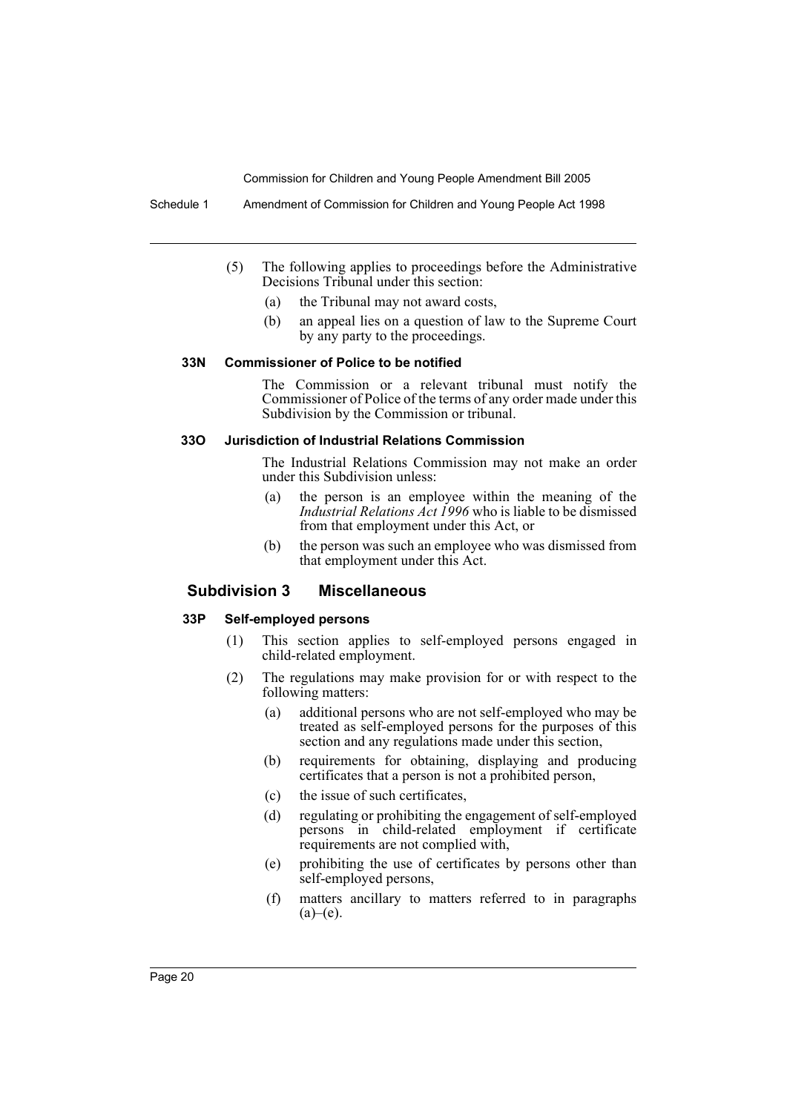Schedule 1 Amendment of Commission for Children and Young People Act 1998

- (5) The following applies to proceedings before the Administrative Decisions Tribunal under this section:
	- (a) the Tribunal may not award costs,
	- (b) an appeal lies on a question of law to the Supreme Court by any party to the proceedings.

#### **33N Commissioner of Police to be notified**

The Commission or a relevant tribunal must notify the Commissioner of Police of the terms of any order made under this Subdivision by the Commission or tribunal.

#### **33O Jurisdiction of Industrial Relations Commission**

The Industrial Relations Commission may not make an order under this Subdivision unless:

- (a) the person is an employee within the meaning of the *Industrial Relations Act 1996* who is liable to be dismissed from that employment under this Act, or
- (b) the person was such an employee who was dismissed from that employment under this Act.

# **Subdivision 3 Miscellaneous**

#### **33P Self-employed persons**

- (1) This section applies to self-employed persons engaged in child-related employment.
- (2) The regulations may make provision for or with respect to the following matters:
	- (a) additional persons who are not self-employed who may be treated as self-employed persons for the purposes of this section and any regulations made under this section,
	- (b) requirements for obtaining, displaying and producing certificates that a person is not a prohibited person,
	- (c) the issue of such certificates,
	- (d) regulating or prohibiting the engagement of self-employed persons in child-related employment if certificate requirements are not complied with,
	- (e) prohibiting the use of certificates by persons other than self-employed persons,
	- (f) matters ancillary to matters referred to in paragraphs  $(a)$ – $(e)$ .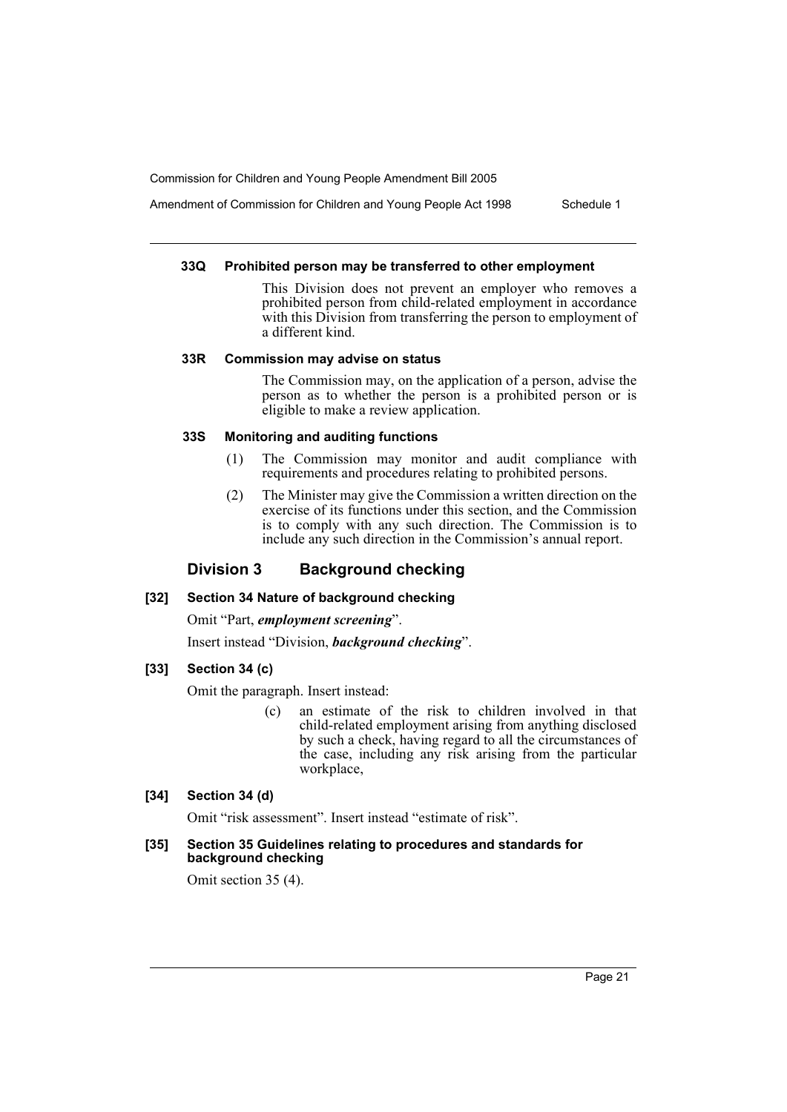Amendment of Commission for Children and Young People Act 1998 Schedule 1

#### **33Q Prohibited person may be transferred to other employment**

This Division does not prevent an employer who removes a prohibited person from child-related employment in accordance with this Division from transferring the person to employment of a different kind.

#### **33R Commission may advise on status**

The Commission may, on the application of a person, advise the person as to whether the person is a prohibited person or is eligible to make a review application.

#### **33S Monitoring and auditing functions**

- (1) The Commission may monitor and audit compliance with requirements and procedures relating to prohibited persons.
- (2) The Minister may give the Commission a written direction on the exercise of its functions under this section, and the Commission is to comply with any such direction. The Commission is to include any such direction in the Commission's annual report.

# **Division 3 Background checking**

#### **[32] Section 34 Nature of background checking**

Omit "Part, *employment screening*". Insert instead "Division, *background checking*".

#### **[33] Section 34 (c)**

Omit the paragraph. Insert instead:

(c) an estimate of the risk to children involved in that child-related employment arising from anything disclosed by such a check, having regard to all the circumstances of the case, including any risk arising from the particular workplace,

### **[34] Section 34 (d)**

Omit "risk assessment". Insert instead "estimate of risk".

#### **[35] Section 35 Guidelines relating to procedures and standards for background checking**

Omit section 35 (4).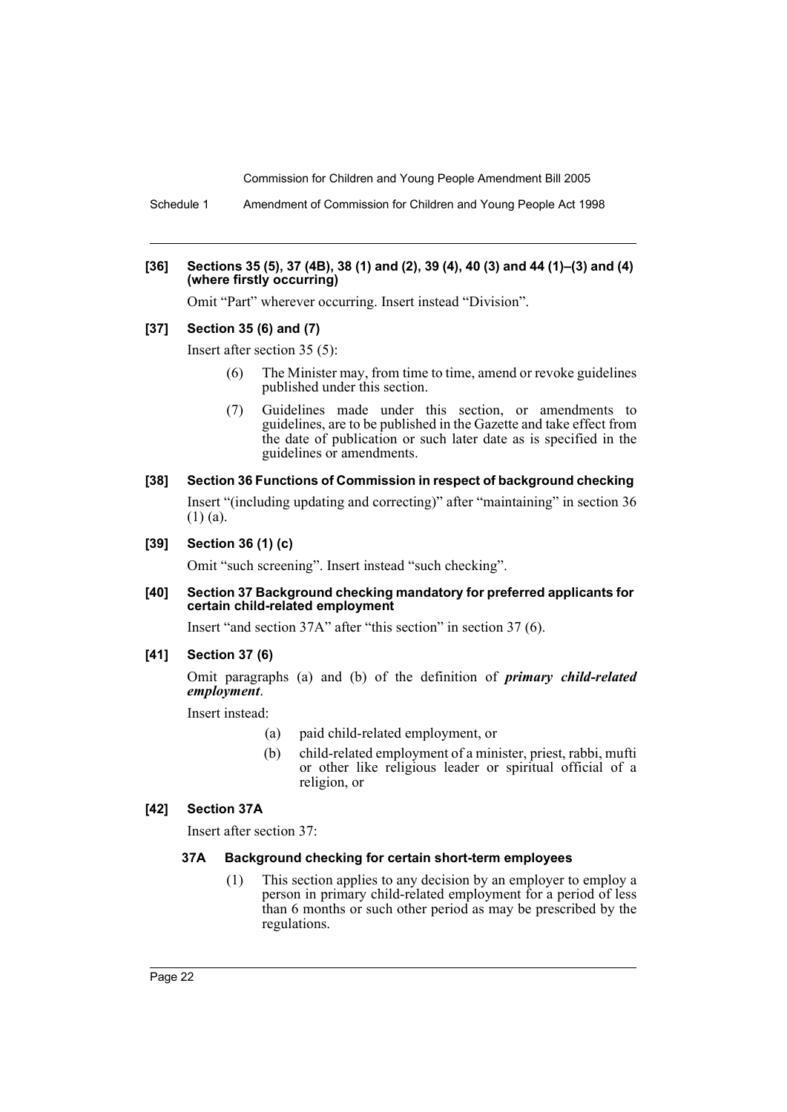Schedule 1 Amendment of Commission for Children and Young People Act 1998

#### **[36] Sections 35 (5), 37 (4B), 38 (1) and (2), 39 (4), 40 (3) and 44 (1)–(3) and (4) (where firstly occurring)**

Omit "Part" wherever occurring. Insert instead "Division".

#### **[37] Section 35 (6) and (7)**

Insert after section 35 (5):

- (6) The Minister may, from time to time, amend or revoke guidelines published under this section.
- (7) Guidelines made under this section, or amendments to guidelines, are to be published in the Gazette and take effect from the date of publication or such later date as is specified in the guidelines or amendments.
- **[38] Section 36 Functions of Commission in respect of background checking**  Insert "(including updating and correcting)" after "maintaining" in section 36 (1) (a).
- **[39] Section 36 (1) (c)**

Omit "such screening". Insert instead "such checking".

**[40] Section 37 Background checking mandatory for preferred applicants for certain child-related employment**

Insert "and section 37A" after "this section" in section 37 (6).

**[41] Section 37 (6)**

Omit paragraphs (a) and (b) of the definition of *primary child-related employment*.

Insert instead:

- (a) paid child-related employment, or
- (b) child-related employment of a minister, priest, rabbi, mufti or other like religious leader or spiritual official of a religion, or

#### **[42] Section 37A**

Insert after section 37:

#### **37A Background checking for certain short-term employees**

(1) This section applies to any decision by an employer to employ a person in primary child-related employment for a period of less than 6 months or such other period as may be prescribed by the regulations.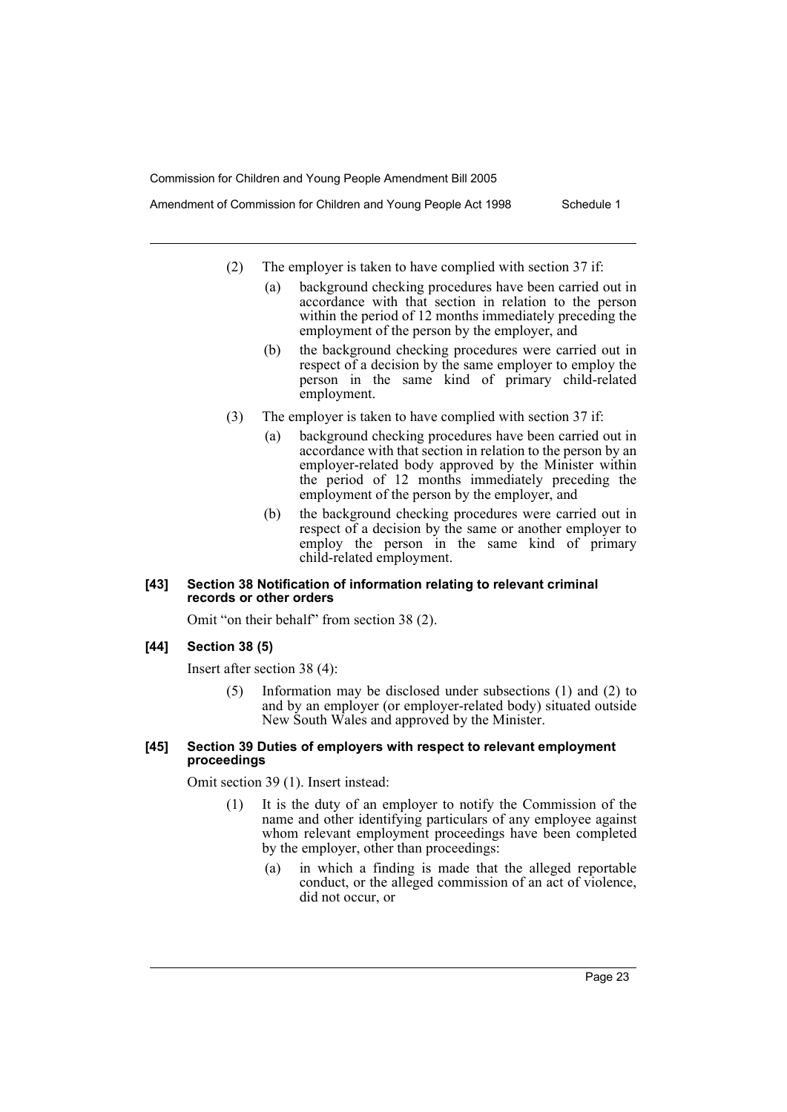Amendment of Commission for Children and Young People Act 1998 Schedule 1

- - (2) The employer is taken to have complied with section 37 if:
		- (a) background checking procedures have been carried out in accordance with that section in relation to the person within the period of 12 months immediately preceding the employment of the person by the employer, and
		- (b) the background checking procedures were carried out in respect of a decision by the same employer to employ the person in the same kind of primary child-related employment.
	- (3) The employer is taken to have complied with section 37 if:
		- (a) background checking procedures have been carried out in accordance with that section in relation to the person by an employer-related body approved by the Minister within the period of 12 months immediately preceding the employment of the person by the employer, and
		- (b) the background checking procedures were carried out in respect of a decision by the same or another employer to employ the person in the same kind of primary child-related employment.

#### **[43] Section 38 Notification of information relating to relevant criminal records or other orders**

Omit "on their behalf" from section 38 (2).

#### **[44] Section 38 (5)**

Insert after section 38 (4):

(5) Information may be disclosed under subsections (1) and (2) to and by an employer (or employer-related body) situated outside New South Wales and approved by the Minister.

#### **[45] Section 39 Duties of employers with respect to relevant employment proceedings**

Omit section 39 (1). Insert instead:

- (1) It is the duty of an employer to notify the Commission of the name and other identifying particulars of any employee against whom relevant employment proceedings have been completed by the employer, other than proceedings:
	- (a) in which a finding is made that the alleged reportable conduct, or the alleged commission of an act of violence, did not occur, or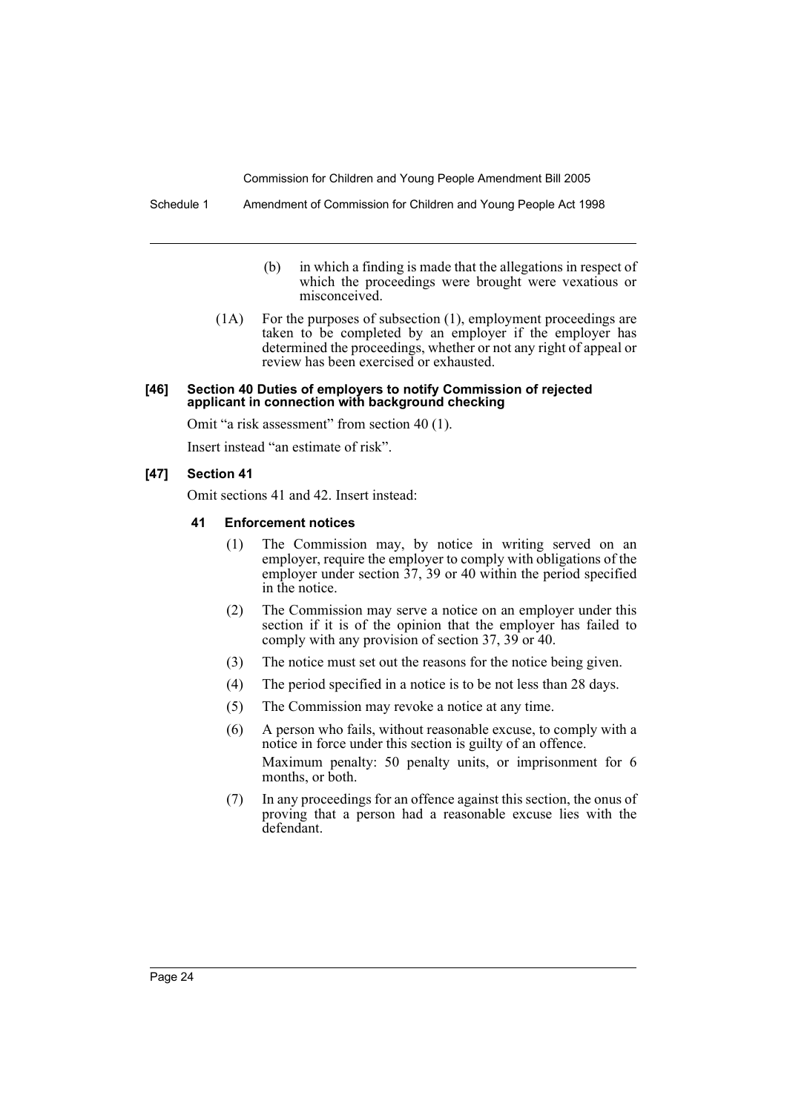- (b) in which a finding is made that the allegations in respect of which the proceedings were brought were vexatious or misconceived.
- (1A) For the purposes of subsection (1), employment proceedings are taken to be completed by an employer if the employer has determined the proceedings, whether or not any right of appeal or review has been exercised or exhausted.

#### **[46] Section 40 Duties of employers to notify Commission of rejected applicant in connection with background checking**

Omit "a risk assessment" from section 40 (1).

Insert instead "an estimate of risk".

#### **[47] Section 41**

Omit sections 41 and 42. Insert instead:

#### **41 Enforcement notices**

- (1) The Commission may, by notice in writing served on an employer, require the employer to comply with obligations of the employer under section 37, 39 or 40 within the period specified in the notice.
- (2) The Commission may serve a notice on an employer under this section if it is of the opinion that the employer has failed to comply with any provision of section 37, 39 or 40.
- (3) The notice must set out the reasons for the notice being given.
- (4) The period specified in a notice is to be not less than 28 days.
- (5) The Commission may revoke a notice at any time.
- (6) A person who fails, without reasonable excuse, to comply with a notice in force under this section is guilty of an offence. Maximum penalty: 50 penalty units, or imprisonment for 6 months, or both.
- (7) In any proceedings for an offence against this section, the onus of proving that a person had a reasonable excuse lies with the defendant.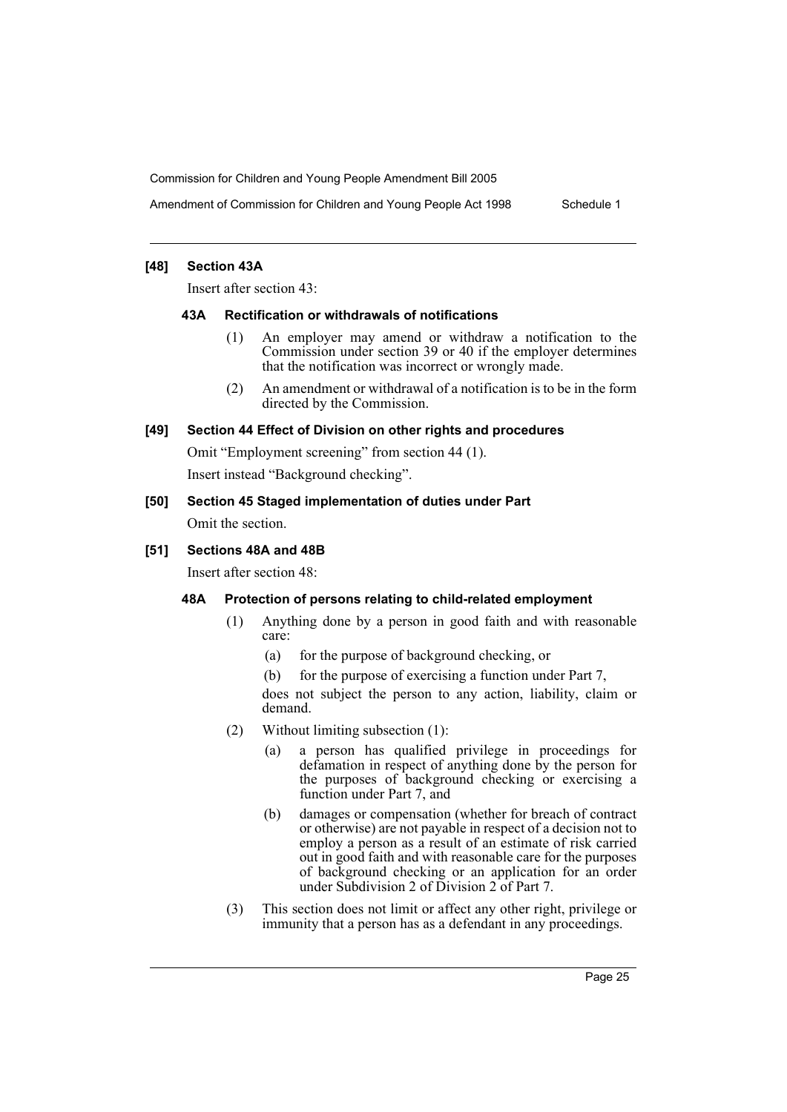Amendment of Commission for Children and Young People Act 1998 Schedule 1

#### **[48] Section 43A**

Insert after section 43:

#### **43A Rectification or withdrawals of notifications**

- (1) An employer may amend or withdraw a notification to the Commission under section 39 or 40 if the employer determines that the notification was incorrect or wrongly made.
- (2) An amendment or withdrawal of a notification is to be in the form directed by the Commission.

#### **[49] Section 44 Effect of Division on other rights and procedures**

Omit "Employment screening" from section 44 (1).

Insert instead "Background checking".

# **[50] Section 45 Staged implementation of duties under Part**

Omit the section.

# **[51] Sections 48A and 48B**

Insert after section 48:

#### **48A Protection of persons relating to child-related employment**

- (1) Anything done by a person in good faith and with reasonable care:
	- (a) for the purpose of background checking, or
	- (b) for the purpose of exercising a function under Part 7,

does not subject the person to any action, liability, claim or demand.

- (2) Without limiting subsection (1):
	- (a) a person has qualified privilege in proceedings for defamation in respect of anything done by the person for the purposes of background checking or exercising a function under Part 7, and
	- (b) damages or compensation (whether for breach of contract or otherwise) are not payable in respect of a decision not to employ a person as a result of an estimate of risk carried out in good faith and with reasonable care for the purposes of background checking or an application for an order under Subdivision 2 of Division  $2$  of Part 7.
- (3) This section does not limit or affect any other right, privilege or immunity that a person has as a defendant in any proceedings.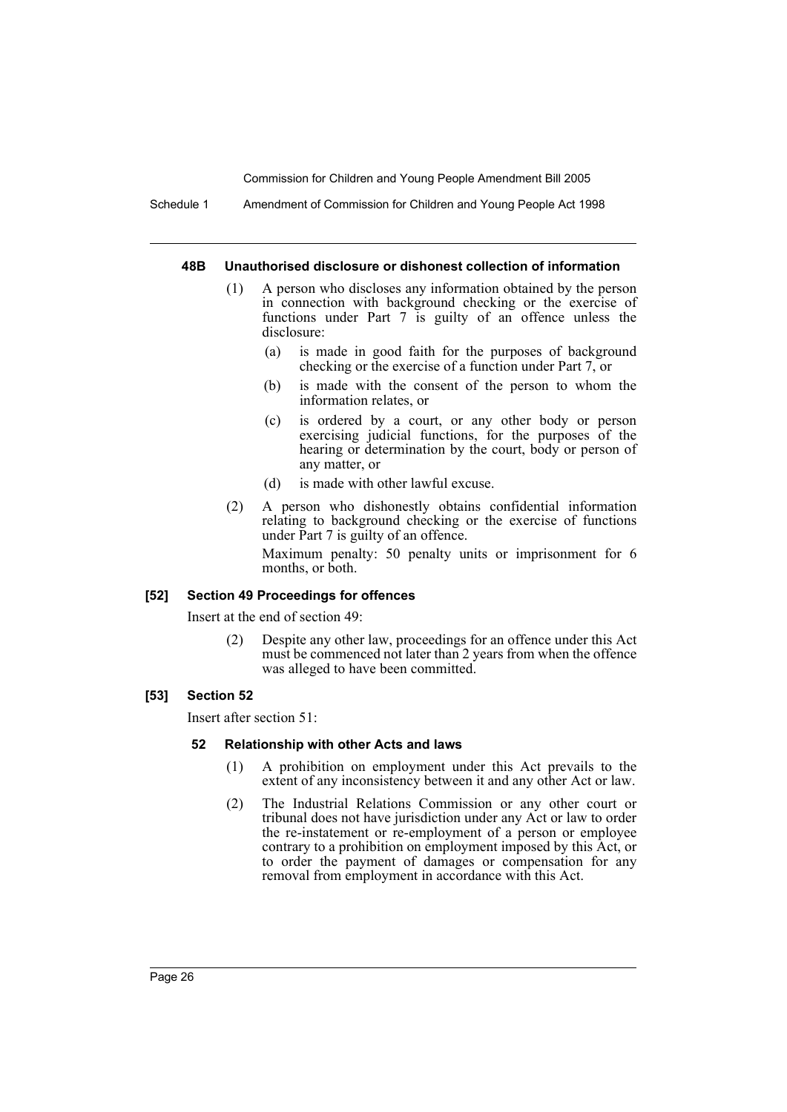Schedule 1 Amendment of Commission for Children and Young People Act 1998

#### **48B Unauthorised disclosure or dishonest collection of information**

- (1) A person who discloses any information obtained by the person in connection with background checking or the exercise of functions under Part 7 is guilty of an offence unless the disclosure:
	- (a) is made in good faith for the purposes of background checking or the exercise of a function under Part 7, or
	- (b) is made with the consent of the person to whom the information relates, or
	- (c) is ordered by a court, or any other body or person exercising judicial functions, for the purposes of the hearing or determination by the court, body or person of any matter, or
	- (d) is made with other lawful excuse.
- (2) A person who dishonestly obtains confidential information relating to background checking or the exercise of functions under Part 7 is guilty of an offence.

Maximum penalty: 50 penalty units or imprisonment for 6 months, or both.

#### **[52] Section 49 Proceedings for offences**

Insert at the end of section 49:

(2) Despite any other law, proceedings for an offence under this Act must be commenced not later than 2 years from when the offence was alleged to have been committed.

#### **[53] Section 52**

Insert after section 51:

#### **52 Relationship with other Acts and laws**

- (1) A prohibition on employment under this Act prevails to the extent of any inconsistency between it and any other Act or law.
- (2) The Industrial Relations Commission or any other court or tribunal does not have jurisdiction under any Act or law to order the re-instatement or re-employment of a person or employee contrary to a prohibition on employment imposed by this Act, or to order the payment of damages or compensation for any removal from employment in accordance with this Act.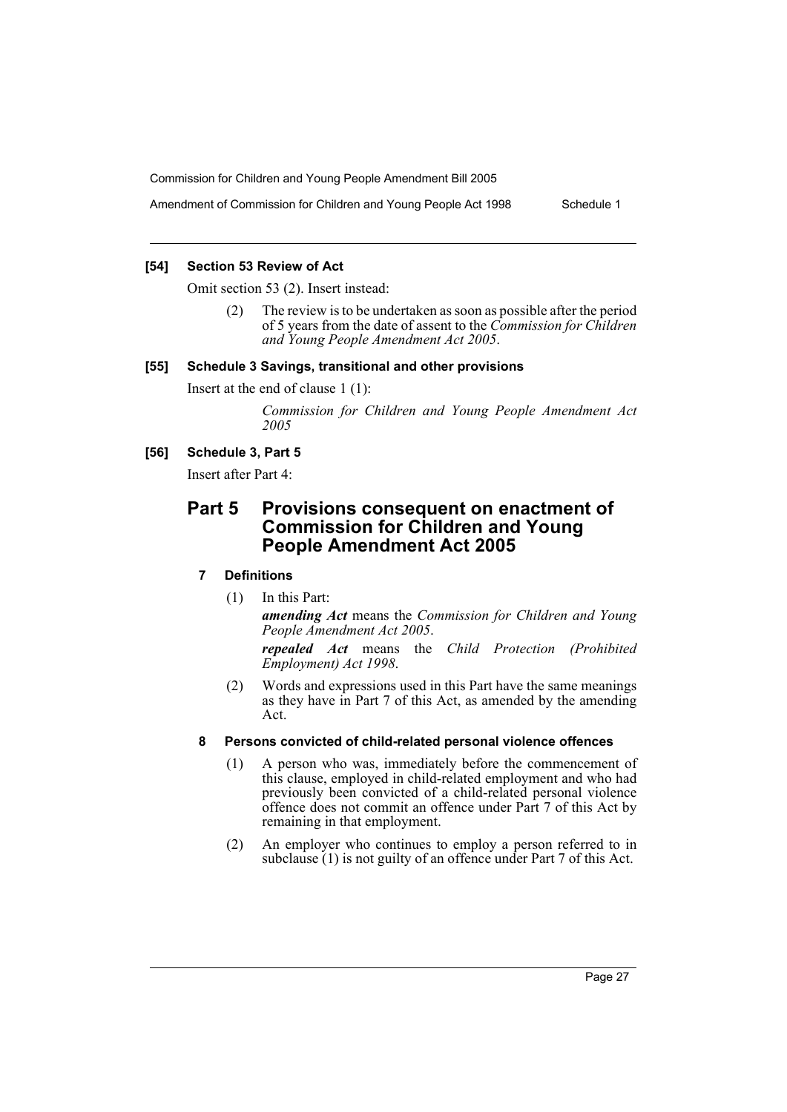Amendment of Commission for Children and Young People Act 1998 Schedule 1

#### **[54] Section 53 Review of Act**

Omit section 53 (2). Insert instead:

(2) The review is to be undertaken as soon as possible after the period of 5 years from the date of assent to the *Commission for Children and Young People Amendment Act 2005*.

#### **[55] Schedule 3 Savings, transitional and other provisions**

Insert at the end of clause 1 (1):

*Commission for Children and Young People Amendment Act 2005* 

#### **[56] Schedule 3, Part 5**

Insert after Part 4:

# **Part 5 Provisions consequent on enactment of Commission for Children and Young People Amendment Act 2005**

# **7 Definitions**

(1) In this Part:

*amending Act* means the *Commission for Children and Young People Amendment Act 2005*.

*repealed Act* means the *Child Protection (Prohibited Employment) Act 1998*.

(2) Words and expressions used in this Part have the same meanings as they have in Part 7 of this Act, as amended by the amending Act.

#### **8 Persons convicted of child-related personal violence offences**

- (1) A person who was, immediately before the commencement of this clause, employed in child-related employment and who had previously been convicted of a child-related personal violence offence does not commit an offence under Part 7 of this Act by remaining in that employment.
- (2) An employer who continues to employ a person referred to in subclause (1) is not guilty of an offence under Part 7 of this Act.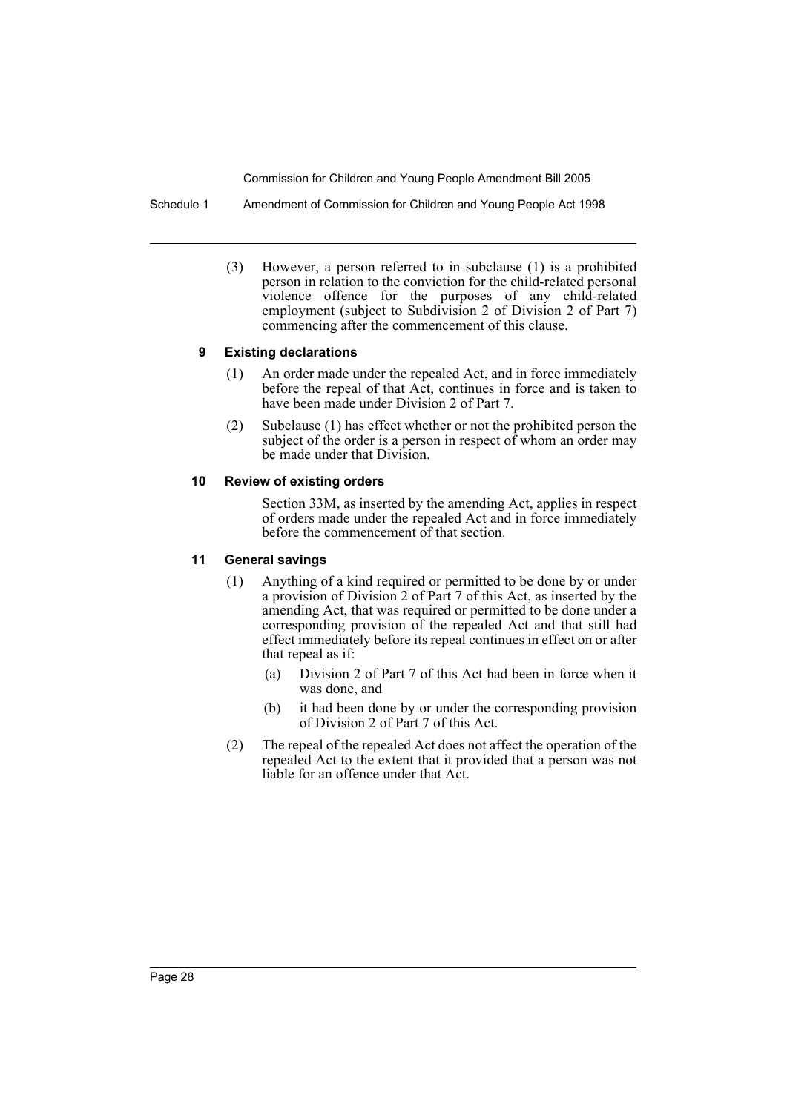Schedule 1 Amendment of Commission for Children and Young People Act 1998

(3) However, a person referred to in subclause (1) is a prohibited person in relation to the conviction for the child-related personal violence offence for the purposes of any child-related employment (subject to Subdivision 2 of Division 2 of Part 7) commencing after the commencement of this clause.

#### **9 Existing declarations**

- (1) An order made under the repealed Act, and in force immediately before the repeal of that Act, continues in force and is taken to have been made under Division 2 of Part 7.
- (2) Subclause (1) has effect whether or not the prohibited person the subject of the order is a person in respect of whom an order may be made under that Division.

#### **10 Review of existing orders**

Section 33M, as inserted by the amending Act, applies in respect of orders made under the repealed Act and in force immediately before the commencement of that section.

#### **11 General savings**

- (1) Anything of a kind required or permitted to be done by or under a provision of Division 2 of Part 7 of this Act, as inserted by the amending Act, that was required or permitted to be done under a corresponding provision of the repealed Act and that still had effect immediately before its repeal continues in effect on or after that repeal as if:
	- (a) Division 2 of Part 7 of this Act had been in force when it was done, and
	- (b) it had been done by or under the corresponding provision of Division 2 of Part 7 of this Act.
- (2) The repeal of the repealed Act does not affect the operation of the repealed Act to the extent that it provided that a person was not liable for an offence under that Act.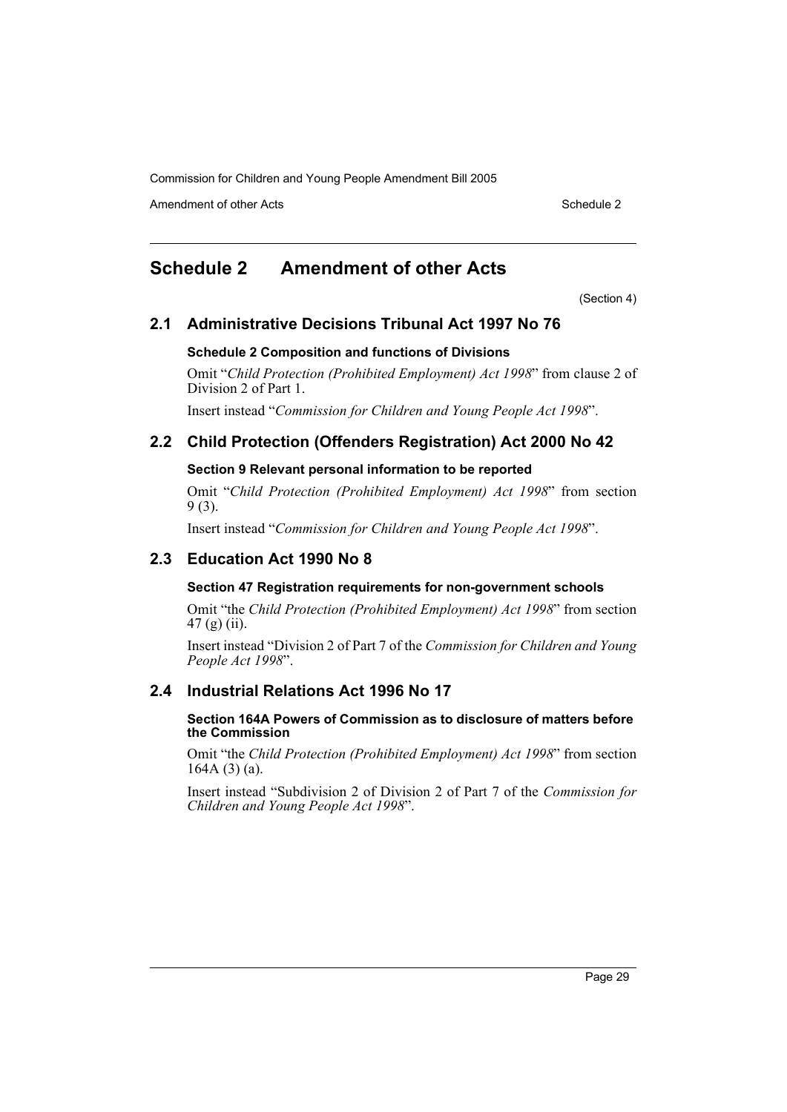Amendment of other Acts **Schedule 2** and the 2 and the 2 and 2 and 2 and 2 and 2 and 2 and 2 and 2 and 2 and 2 and 2 and 2 and 2 and 2 and 2 and 2 and 2 and 2 and 2 and 2 and 2 and 2 and 2 and 2 and 2 and 2 and 2 and 2 and

# **Schedule 2 Amendment of other Acts**

(Section 4)

# **2.1 Administrative Decisions Tribunal Act 1997 No 76**

#### **Schedule 2 Composition and functions of Divisions**

Omit "*Child Protection (Prohibited Employment) Act 1998*" from clause 2 of Division 2 of Part 1.

Insert instead "*Commission for Children and Young People Act 1998*".

# **2.2 Child Protection (Offenders Registration) Act 2000 No 42**

#### **Section 9 Relevant personal information to be reported**

Omit "*Child Protection (Prohibited Employment) Act 1998*" from section 9 (3).

Insert instead "*Commission for Children and Young People Act 1998*".

# **2.3 Education Act 1990 No 8**

#### **Section 47 Registration requirements for non-government schools**

Omit "the *Child Protection (Prohibited Employment) Act 1998*" from section 47 (g) (ii).

Insert instead "Division 2 of Part 7 of the *Commission for Children and Young People Act 1998*".

# **2.4 Industrial Relations Act 1996 No 17**

#### **Section 164A Powers of Commission as to disclosure of matters before the Commission**

Omit "the *Child Protection (Prohibited Employment) Act 1998*" from section 164A (3) (a).

Insert instead "Subdivision 2 of Division 2 of Part 7 of the *Commission for Children and Young People Act 1998*".